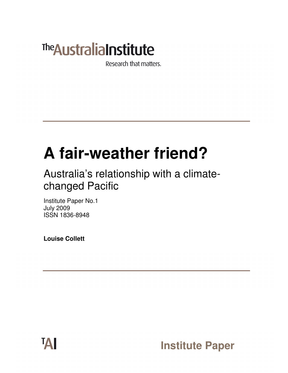# **The Australia Institute**

Research that matters.

# **A fair-weather friend?**

Australia's relationship with a climatechanged Pacific

Institute Paper No.1 July 2009 ISSN 1836-8948

**Louise Collett** 

**Institute Paper**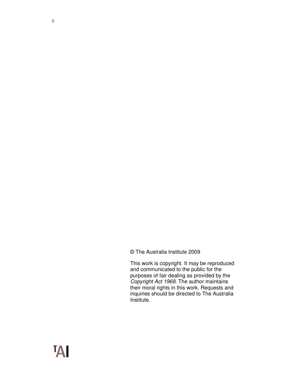© The Australia Institute 2009

This work is copyright. It may be reproduced and communicated to the public for the purposes of fair dealing as provided by the Copyright Act 1968. The author maintains their moral rights in this work. Requests and inquiries should be directed to The Australia Institute.

**TAI**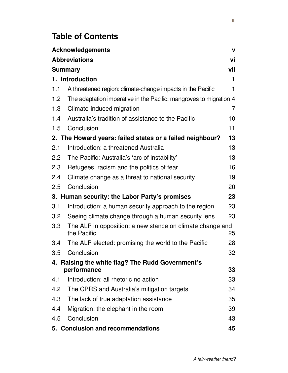# **Table of Contents**

| <b>Acknowledgements</b><br>$\mathbf{V}$                               |                                                                                |    |  |
|-----------------------------------------------------------------------|--------------------------------------------------------------------------------|----|--|
| <b>Abbreviations</b><br>vi                                            |                                                                                |    |  |
| vii<br><b>Summary</b>                                                 |                                                                                |    |  |
| 1. Introduction<br>1                                                  |                                                                                |    |  |
| 1.1                                                                   | A threatened region: climate-change impacts in the Pacific                     | 1  |  |
| 1.2                                                                   | The adaptation imperative in the Pacific: mangroves to migration 4             |    |  |
| 1.3                                                                   | Climate-induced migration                                                      | 7  |  |
| 1.4                                                                   | Australia's tradition of assistance to the Pacific                             | 10 |  |
| 1.5                                                                   | Conclusion                                                                     | 11 |  |
|                                                                       | 2. The Howard years: failed states or a failed neighbour?                      | 13 |  |
| 2.1                                                                   | Introduction: a threatened Australia                                           | 13 |  |
| $2.2^{\circ}$                                                         | The Pacific: Australia's 'arc of instability'                                  | 13 |  |
| 2.3                                                                   | Refugees, racism and the politics of fear                                      | 16 |  |
| 2.4                                                                   | Climate change as a threat to national security                                | 19 |  |
| 2.5                                                                   | Conclusion                                                                     | 20 |  |
| 23<br>3. Human security: the Labor Party's promises                   |                                                                                |    |  |
| 3.1                                                                   | Introduction: a human security approach to the region                          | 23 |  |
| 3.2                                                                   | Seeing climate change through a human security lens                            | 23 |  |
| 3.3                                                                   | The ALP in opposition: a new stance on climate change and<br>the Pacific<br>25 |    |  |
| 3.4                                                                   | The ALP elected: promising the world to the Pacific                            | 28 |  |
| 3.5                                                                   | Conclusion                                                                     | 32 |  |
| 4. Raising the white flag? The Rudd Government's<br>performance<br>33 |                                                                                |    |  |
| 4.1                                                                   | Introduction: all rhetoric no action                                           | 33 |  |
| 4.2                                                                   | The CPRS and Australia's mitigation targets                                    | 34 |  |
| 4.3                                                                   | The lack of true adaptation assistance                                         | 35 |  |
| $4.4^{\circ}$                                                         | Migration: the elephant in the room                                            | 39 |  |
| 4.5                                                                   | Conclusion                                                                     | 43 |  |
|                                                                       | 5. Conclusion and recommendations                                              | 45 |  |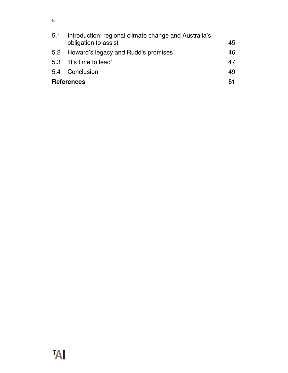|                         | 5.1 Introduction: regional climate change and Australia's<br>obligation to assist | 45 |
|-------------------------|-----------------------------------------------------------------------------------|----|
|                         | 5.2 Howard's legacy and Rudd's promises                                           | 46 |
|                         | 5.3 'It's time to lead'                                                           | 47 |
|                         | 5.4 Conclusion                                                                    | 49 |
| <b>References</b><br>51 |                                                                                   |    |

# **TAI**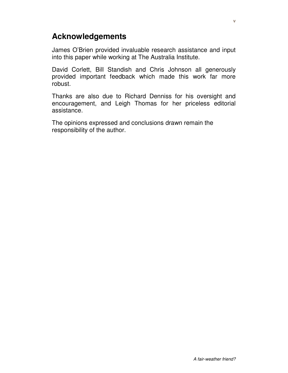## **Acknowledgements**

James O'Brien provided invaluable research assistance and input into this paper while working at The Australia Institute.

David Corlett, Bill Standish and Chris Johnson all generously provided important feedback which made this work far more robust.

Thanks are also due to Richard Denniss for his oversight and encouragement, and Leigh Thomas for her priceless editorial assistance.

The opinions expressed and conclusions drawn remain the responsibility of the author.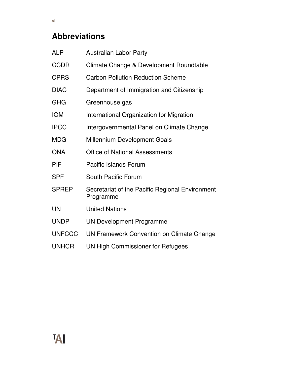# **Abbreviations**

| <b>ALP</b>    | <b>Australian Labor Party</b>                                |
|---------------|--------------------------------------------------------------|
| <b>CCDR</b>   | Climate Change & Development Roundtable                      |
| <b>CPRS</b>   | <b>Carbon Pollution Reduction Scheme</b>                     |
| <b>DIAC</b>   | Department of Immigration and Citizenship                    |
| <b>GHG</b>    | Greenhouse gas                                               |
| <b>IOM</b>    | International Organization for Migration                     |
| <b>IPCC</b>   | Intergovernmental Panel on Climate Change                    |
| <b>MDG</b>    | <b>Millennium Development Goals</b>                          |
| <b>ONA</b>    | <b>Office of National Assessments</b>                        |
| PIF           | <b>Pacific Islands Forum</b>                                 |
| <b>SPF</b>    | South Pacific Forum                                          |
| <b>SPREP</b>  | Secretariat of the Pacific Regional Environment<br>Programme |
| UN            | <b>United Nations</b>                                        |
| <b>UNDP</b>   | <b>UN Development Programme</b>                              |
| <b>UNFCCC</b> | UN Framework Convention on Climate Change                    |
| <b>UNHCR</b>  | UN High Commissioner for Refugees                            |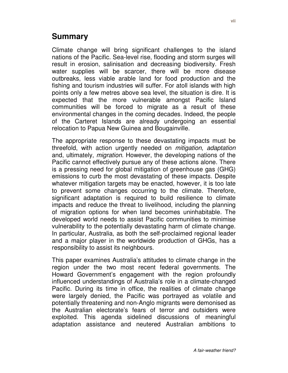### **Summary**

Climate change will bring significant challenges to the island nations of the Pacific. Sea-level rise, flooding and storm surges will result in erosion, salinisation and decreasing biodiversity. Fresh water supplies will be scarcer, there will be more disease outbreaks, less viable arable land for food production and the fishing and tourism industries will suffer. For atoll islands with high points only a few metres above sea level, the situation is dire. It is expected that the more vulnerable amongst Pacific Island communities will be forced to migrate as a result of these environmental changes in the coming decades. Indeed, the people of the Carteret Islands are already undergoing an essential relocation to Papua New Guinea and Bougainville.

The appropriate response to these devastating impacts must be threefold, with action urgently needed on mitigation, adaptation and, ultimately, migration. However, the developing nations of the Pacific cannot effectively pursue any of these actions alone. There is a pressing need for global mitigation of greenhouse gas (GHG) emissions to curb the most devastating of these impacts. Despite whatever mitigation targets may be enacted, however, it is too late to prevent some changes occurring to the climate. Therefore, significant adaptation is required to build resilience to climate impacts and reduce the threat to livelihood, including the planning of migration options for when land becomes uninhabitable. The developed world needs to assist Pacific communities to minimise vulnerability to the potentially devastating harm of climate change. In particular, Australia, as both the self-proclaimed regional leader and a major player in the worldwide production of GHGs, has a responsibility to assist its neighbours.

This paper examines Australia's attitudes to climate change in the region under the two most recent federal governments. The Howard Government's engagement with the region profoundly influenced understandings of Australia's role in a climate-changed Pacific. During its time in office, the realities of climate change were largely denied, the Pacific was portrayed as volatile and potentially threatening and non-Anglo migrants were demonised as the Australian electorate's fears of terror and outsiders were exploited. This agenda sidelined discussions of meaningful adaptation assistance and neutered Australian ambitions to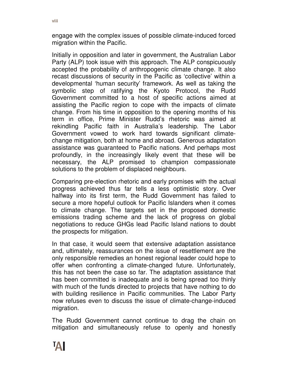engage with the complex issues of possible climate-induced forced migration within the Pacific.

Initially in opposition and later in government, the Australian Labor Party (ALP) took issue with this approach. The ALP conspicuously accepted the probability of anthropogenic climate change. It also recast discussions of security in the Pacific as 'collective' within a developmental 'human security' framework. As well as taking the symbolic step of ratifying the Kyoto Protocol, the Rudd Government committed to a host of specific actions aimed at assisting the Pacific region to cope with the impacts of climate change. From his time in opposition to the opening months of his term in office, Prime Minister Rudd's rhetoric was aimed at rekindling Pacific faith in Australia's leadership. The Labor Government vowed to work hard towards significant climatechange mitigation, both at home and abroad. Generous adaptation assistance was guaranteed to Pacific nations. And perhaps most profoundly, in the increasingly likely event that these will be necessary, the ALP promised to champion compassionate solutions to the problem of displaced neighbours.

Comparing pre-election rhetoric and early promises with the actual progress achieved thus far tells a less optimistic story. Over halfway into its first term, the Rudd Government has failed to secure a more hopeful outlook for Pacific Islanders when it comes to climate change. The targets set in the proposed domestic emissions trading scheme and the lack of progress on global negotiations to reduce GHGs lead Pacific Island nations to doubt the prospects for mitigation.

In that case, it would seem that extensive adaptation assistance and, ultimately, reassurances on the issue of resettlement are the only responsible remedies an honest regional leader could hope to offer when confronting a climate-changed future. Unfortunately, this has not been the case so far. The adaptation assistance that has been committed is inadequate and is being spread too thinly with much of the funds directed to projects that have nothing to do with building resilience in Pacific communities. The Labor Party now refuses even to discuss the issue of climate-change-induced migration.

The Rudd Government cannot continue to drag the chain on mitigation and simultaneously refuse to openly and honestly

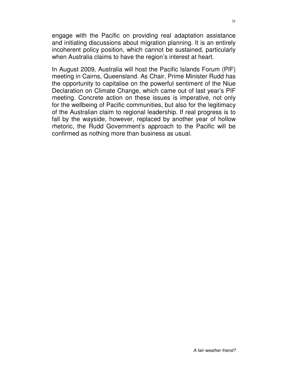engage with the Pacific on providing real adaptation assistance and initiating discussions about migration planning. It is an entirely incoherent policy position, which cannot be sustained, particularly when Australia claims to have the region's interest at heart.

In August 2009, Australia will host the Pacific Islands Forum (PIF) meeting in Cairns, Queensland. As Chair, Prime Minister Rudd has the opportunity to capitalise on the powerful sentiment of the Niue Declaration on Climate Change, which came out of last year's PIF meeting. Concrete action on these issues is imperative, not only for the wellbeing of Pacific communities, but also for the legitimacy of the Australian claim to regional leadership. If real progress is to fall by the wayside, however, replaced by another year of hollow rhetoric, the Rudd Government's approach to the Pacific will be confirmed as nothing more than business as usual.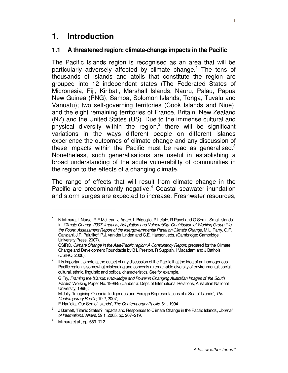### **1. Introduction**

#### **1.1 A threatened region: climate-change impacts in the Pacific**

The Pacific Islands region is recognised as an area that will be particularly adversely affected by climate change.<sup>1</sup> The tens of thousands of islands and atolls that constitute the region are grouped into 12 independent states (The Federated States of Micronesia, Fiji, Kiribati, Marshall Islands, Nauru, Palau, Papua New Guinea (PNG), Samoa, Solomon Islands, Tonga, Tuvalu and Vanuatu); two self-governing territories (Cook Islands and Niue); and the eight remaining territories of France, Britain, New Zealand (NZ) and the United States (US). Due to the immense cultural and physical diversity within the region,<sup>2</sup> there will be significant variations in the ways different people on different islands experience the outcomes of climate change and any discussion of these impacts within the Pacific must be read as generalised. $3$ Nonetheless, such generalisations are useful in establishing a broad understanding of the acute vulnerability of communities in the region to the effects of a changing climate.

The range of effects that will result from climate change in the Pacific are predominantly negative.<sup>4</sup> Coastal seawater inundation and storm surges are expected to increase. Freshwater resources,

<sup>1</sup> N Mimura, L Nurse, R F McLean, J Agard, L Briguglio, P Lefale, R Payet and G Sem., 'Small Islands'. In: Climate Change 2007: Impacts, Adaptation and Vulnerability. Contribution of Working Group II to the Fourth Assessment Report of the Intergovernmental Panel on Climate Change, M.L. Parry, O.F. Canziani, J.P. Palutikof, P.J. van der Linden and C.E. Hanson, eds. (Cambridge: Cambridge University Press, 2007).

CSIRO, Climate Change in the Asia/Pacific region: A Consultancy Report, prepared for the Climate Change and Development Roundtable by B L Preston, R Suppiah, I Macadam and J Bathols (CSIRO, 2006).

It is important to note at the outset of any discussion of the Pacific that the idea of an homogenous Pacific region is somewhat misleading and conceals a remarkable diversity of environmental, social, cultural, ethnic, linguistic and political characteristics. See for example,

G Fry, Framing the Islands: Knowledge and Power in Changing Australian Images of 'the South Pacific', Working Paper No. 1996/5 (Canberra: Dept. of International Relations, Australian National University, 1996);

M Jolly, 'Imagining Oceania: Indigenous and Foreign Representations of a Sea of Islands', The Contemporary Pacific, 19:2, 2007;

E Hau'ofa, 'Our Sea of Islands', The Contemporary Pacific, 6:1, 1994.

<sup>3</sup> J Barnett, 'Titanic States? Impacts and Responses to Climate Change in the Pacific Islands', Journal of International Affairs, 59:1, 2005, pp. 207–219.

<sup>4</sup> Mimura et al., pp. 689–712.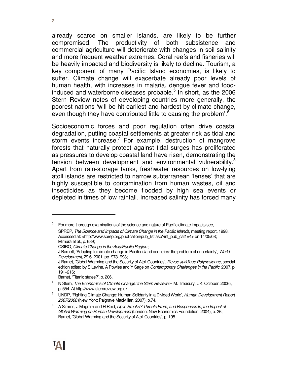already scarce on smaller islands, are likely to be further compromised. The productivity of both subsistence and commercial agriculture will deteriorate with changes in soil salinity and more frequent weather extremes. Coral reefs and fisheries will be heavily impacted and biodiversity is likely to decline. Tourism, a key component of many Pacific Island economies, is likely to suffer. Climate change will exacerbate already poor levels of human health, with increases in malaria, dengue fever and foodinduced and waterborne diseases probable. $5$  In short, as the 2006 Stern Review notes of developing countries more generally, the poorest nations 'will be hit earliest and hardest by climate change, even though they have contributed little to causing the problem'.<sup>6</sup>

Socioeconomic forces and poor regulation often drive coastal degradation, putting coastal settlements at greater risk as tidal and storm events increase.<sup>7</sup> For example, destruction of mangrove forests that naturally protect against tidal surges has proliferated as pressures to develop coastal land have risen, demonstrating the tension between development and environmental vulnerability.<sup>8</sup> Apart from rain-storage tanks, freshwater resources on low-lying atoll islands are restricted to narrow subterranean 'lenses' that are highly susceptible to contamination from human wastes, oil and insecticides as they become flooded by high sea events or depleted in times of low rainfall. Increased salinity has forced many

5 For more thorough examinations of the science and nature of Pacific climate impacts see,

Barnet, 'Titanic states?', p. 206.

SPREP, The Science and Impacts of Climate Change in the Pacific Islands, meeting report. 1998. Accessed at: <http://www.sprep.org/publication/pub\_list.asp?int\_pub\_cat1=4> on 14/05/08; Mimura et al., p. 689;

CSIRO, Climate Change in the Asia/Pacific Region.;

J Barnett, 'Adapting to climate change in Pacific island countries: the problem of uncertainty', World Development, 29:6, 2001, pp. 973–993;

J Barnet, 'Global Warming and the Security of Atoll Countries', *Revue Juridique Polynesienne*, special edition edited by S Levine, A Powles and Y Sage on Contemporary Challenges in the Pacific, 2007, p. 191–216;

N Stern, The Economics of Climate Change: the Stern Review (H.M. Treasury, UK: October, 2006), p. 554. At http://www.sternreview.org.uk

<sup>7</sup> UNDP, 'Fighting Climate Change: Human Solidarity in a Divided World', Human Development Report 2007/2008 (New York: Palgrave MacMillan, 2007), p.74.

<sup>8</sup> A Simms, J Magrath and H Reid, Up in Smoke? Threats From, and Responses to, the Impact of Global Warming on Human Development (London: New Economics Foundation, 2004), p. 26; Barnet, 'Global Warming and the Security of Atoll Countries', p. 195.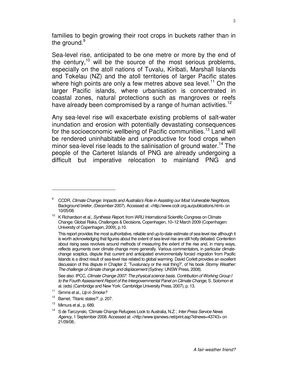families to begin growing their root crops in buckets rather than in the ground.<sup>9</sup>

Sea-level rise, anticipated to be one metre or more by the end of the century,<sup>10</sup> will be the source of the most serious problems, especially on the atoll nations of Tuvalu, Kiribati, Marshall Islands and Tokelau (NZ) and the atoll territories of larger Pacific states where high points are only a few metres above sea level.<sup>11</sup> On the larger Pacific islands, where urbanisation is concentrated in coastal zones, natural protections such as mangroves or reefs have already been compromised by a range of human activities.<sup>12</sup>

Any sea-level rise will exacerbate existing problems of salt-water inundation and erosion with potentially devastating consequences for the socioeconomic wellbeing of Pacific communities.<sup>13</sup> Land will be rendered uninhabitable and unproductive for food crops when minor sea-level rise leads to the salinisation of ground water.<sup>14</sup> The people of the Carteret Islands of PNG are already undergoing a difficult but imperative relocation to mainland PNG and

 $9$  CCDR, Climate Change: Impacts and Australia's Role in Assisting our Most Vulnerable Neighbors, Background briefer, (December 2007). Accessed at: <http://www.ccdr.org.au/publications.html> on 10/05/08.

<sup>&</sup>lt;sup>10</sup> K Richardson et al., Synthesis Report, from IARU International Scientific Congress on Climate Change: Global Risks, Challenges & Decisions, Copenhagen, 10–12 March 2009 (Copenhagen: University of Copenhagen, 2009), p.10.

This report provides the most authoritative, reliable and up-to-date estimate of sea-level rise although it is worth acknowledging that figures about the extent of sea-level rise are still hotly debated. Contention about rising seas revolves around methods of measuring the extent of the rise and, in many ways, reflects arguments over climate change more generally. Various commentators, in particular climatechange sceptics, dispute that current and anticipated environmentally forced migration from Pacific Islands is a direct result of sea-level rise related to global warming. David Corlett provides an excellent discussion of this dispute in Chapter 2, 'Tuvalunacy or the real thing?', of his book Stormy Weather: The challenge of climate change and displacement (Sydney: UNSW Press, 2008).

See also: IPCC, Climate Change 2007: The physical science basis. Contribution of Working Group I to the Fourth Assessment Report of the Intergovernmental Panel on Climate Change, S. Solomon et al. (eds) (Cambridge and New York: Cambridge University Press, 2007), p. 13.

 $11$  Simms et al., Up in Smoke?

<sup>12</sup> Barnet, 'Titanic states?', p. 207.

 $13$  Mimura et al., p. 689.

<sup>&</sup>lt;sup>14</sup> S de Tarczynski, 'Climate Change Refugees Look to Australia, N.Z.', Inter Press Service News Agency, 1 September 2008. Accessed at: <http://www.ipsnews.net/print.asp?idnews=43743> on 21/09/08..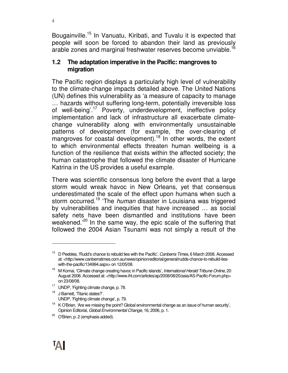Bougainville.<sup>15</sup> In Vanuatu, Kiribati, and Tuvalu it is expected that people will soon be forced to abandon their land as previously arable zones and marginal freshwater reserves become unviable.<sup>16</sup>

#### **1.2 The adaptation imperative in the Pacific: mangroves to migration**

The Pacific region displays a particularly high level of vulnerability to the climate-change impacts detailed above. The United Nations (UN) defines this vulnerability as 'a measure of capacity to manage … hazards without suffering long-term, potentially irreversible loss of well-being'.<sup>17</sup> Poverty, underdevelopment, ineffective policy implementation and lack of infrastructure all exacerbate climatechange vulnerability along with environmentally unsustainable patterns of development (for example, the over-clearing of mangroves for coastal development).<sup>18</sup> In other words, the extent to which environmental effects threaten human wellbeing is a function of the resilience that exists within the affected society; the human catastrophe that followed the climate disaster of Hurricane Katrina in the US provides a useful example.

There was scientific consensus long before the event that a large storm would wreak havoc in New Orleans, yet that consensus underestimated the scale of the effect upon humans when such a storm occurred.<sup>19</sup> 'The *human* disaster in Louisiana was triggered by vulnerabilities and inequities that have increased … as social safety nets have been dismantled and institutions have been weakened.<sup>'20</sup> In the same way, the epic scale of the suffering that followed the 2004 Asian Tsunami was not simply a result of the

- <sup>17</sup> UNDP, 'Fighting climate change, p. 78.
- <sup>18</sup> J Barnett, 'Titanic states?'.
	- UNDP, 'Fighting climate change', p. 79.

 $15$  D Peebles, 'Rudd's chance to rebuild ties with the Pacific', Canberra Times, 6 March 2008. Accessed at: <http://www.canberratimes.com.au/news/opinion/editorial/general/rudds-chance-to-rebuild-tieswith-the-pacific/134994.aspx> on 12/05/08.

<sup>&</sup>lt;sup>16</sup> M Komai, 'Climate change creating havoc in Pacific islands', International Herald Tribune Online, 20 August 2008. Accessed at: <http://www.iht.com/articles/ap/2008/08/20/asia/AS-Pacific-Forum.php> on 23/08/08.

 $19$  K O'Brien, 'Are we missing the point? Global environmental change as an issue of human security', Opinion Editorial, Global Environmental Change, 16, 2006, p. 1.

<sup>&</sup>lt;sup>20</sup> O'Brien, p. 2 (emphasis added).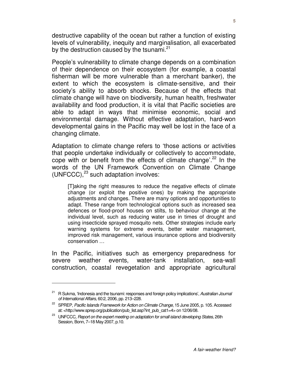destructive capability of the ocean but rather a function of existing levels of vulnerability, inequity and marginalisation, all exacerbated by the destruction caused by the tsunami.<sup>21</sup>

People's vulnerability to climate change depends on a combination of their dependence on their ecosystem (for example, a coastal fisherman will be more vulnerable than a merchant banker), the extent to which the ecosystem is climate-sensitive, and their society's ability to absorb shocks. Because of the effects that climate change will have on biodiversity, human health, freshwater availability and food production, it is vital that Pacific societies are able to adapt in ways that minimise economic, social and environmental damage. Without effective adaptation, hard-won developmental gains in the Pacific may well be lost in the face of a changing climate.

Adaptation to climate change refers to 'those actions or activities that people undertake individually or collectively to accommodate, cope with or benefit from the effects of climate change'.<sup>22</sup> In the words of the UN Framework Convention on Climate Change (UNFCCC), $^{23}$  such adaptation involves:

[T]aking the right measures to reduce the negative effects of climate change (or exploit the positive ones) by making the appropriate adjustments and changes. There are many options and opportunities to adapt. These range from technological options such as increased sea defences or flood-proof houses on stilts, to behaviour change at the individual level, such as reducing water use in times of drought and using insecticide sprayed mosquito nets. Other strategies include early warning systems for extreme events, better water management, improved risk management, various insurance options and biodiversity conservation …

In the Pacific, initiatives such as emergency preparedness for severe weather events, water-tank installation, sea-wall construction, coastal revegetation and appropriate agricultural

<sup>&</sup>lt;sup>21</sup> R Sukma, 'Indonesia and the tsunami: responses and foreign policy implications', Australian Journal of International Affairs, 60:2, 2006, pp. 213–228.

<sup>&</sup>lt;sup>22</sup> SPREP, Pacific Islands Framework for Action on Climate Change, 15 June 2005, p. 105. Accessed at: <http://www.sprep.org/publication/pub\_list.asp?int\_pub\_cat1=4> on 12/06/08.

<sup>&</sup>lt;sup>23</sup> UNFCCC, Report on the expert meeting on adaptation for small island developing States, 26th Session, Bonn, 7–18 May 2007, p.10.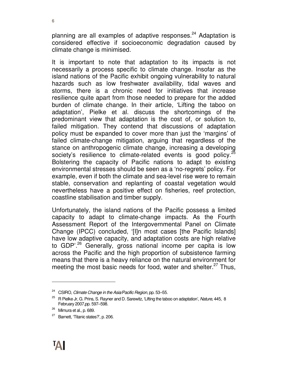planning are all examples of adaptive responses. $24$  Adaptation is considered effective if socioeconomic degradation caused by climate change is minimised.

It is important to note that adaptation to its impacts is not necessarily a process specific to climate change. Insofar as the island nations of the Pacific exhibit ongoing vulnerability to natural hazards such as low freshwater availability, tidal waves and storms, there is a chronic need for initiatives that increase resilience quite apart from those needed to prepare for the added burden of climate change. In their article, 'Lifting the taboo on adaptation', Pielke et al. discuss the shortcomings of the predominant view that adaptation is the cost of, or solution to, failed mitigation. They contend that discussions of adaptation policy must be expanded to cover more than just the 'margins' of failed climate-change mitigation, arguing that regardless of the stance on anthropogenic climate change, increasing a developing society's resilience to climate-related events is good policy.<sup>25</sup> Bolstering the capacity of Pacific nations to adapt to existing environmental stresses should be seen as a 'no-regrets' policy. For example, even if both the climate and sea-level rise were to remain stable, conservation and replanting of coastal vegetation would nevertheless have a positive effect on fisheries, reef protection, coastline stabilisation and timber supply.

Unfortunately, the island nations of the Pacific possess a limited capacity to adapt to climate-change impacts. As the Fourth Assessment Report of the Intergovernmental Panel on Climate Change (IPCC) concluded, '[I]n most cases [the Pacific Islands] have low adaptive capacity, and adaptation costs are high relative to GDP'.<sup>26</sup> Generally, gross national income per capita is low across the Pacific and the high proportion of subsistence farming means that there is a heavy reliance on the natural environment for meeting the most basic needs for food, water and shelter. $27$  Thus,

<sup>&</sup>lt;sup>24</sup> CSIRO, Climate Change in the Asia/Pacific Region, pp. 53–55.

 $25$  R Pielke Jr, G. Prins, S. Rayner and D. Sarewitz, 'Lifting the taboo on adaptation', Nature, 445, 8 February 2007,pp. 597–598.

<sup>26</sup> Mimura et al., p. 689.

<sup>27</sup> Barnett, 'Titanic states?', p. 206.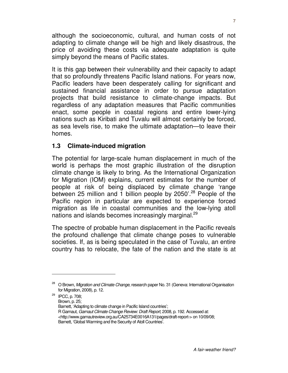although the socioeconomic, cultural, and human costs of not adapting to climate change will be high and likely disastrous, the price of avoiding these costs via adequate adaptation is quite simply beyond the means of Pacific states.

It is this gap between their vulnerability and their capacity to adapt that so profoundly threatens Pacific Island nations. For years now, Pacific leaders have been desperately calling for significant and sustained financial assistance in order to pursue adaptation projects that build resistance to climate-change impacts. But regardless of any adaptation measures that Pacific communities enact, some people in coastal regions and entire lower-lying nations such as Kiribati and Tuvalu will almost certainly be forced, as sea levels rise, to make the ultimate adaptation—to leave their homes.

#### **1.3 Climate-induced migration**

 $\overline{a}$ 

The potential for large-scale human displacement in much of the world is perhaps the most graphic illustration of the disruption climate change is likely to bring. As the International Organization for Migration (IOM) explains, current estimates for the number of people at risk of being displaced by climate change 'range between 25 million and 1 billion people by 2050'.<sup>28</sup> People of the Pacific region in particular are expected to experience forced migration as life in coastal communities and the low-lying atoll nations and islands becomes increasingly marginal.<sup>29</sup>

The spectre of probable human displacement in the Pacific reveals the profound challenge that climate change poses to vulnerable societies. If, as is being speculated in the case of Tuvalu, an entire country has to relocate, the fate of the nation and the state is at

<sup>29</sup> IPCC, p. 708; Brown, p. 25; Barnett, 'Adapting to climate change in Pacific Island countries'; R Garnaut, Garnaut Climate Change Review: Draft Report, 2008, p. 192. Accessed at: <http://www.garnautreview.org.au/CA25734E0016A131/pages/draft-report-> on 10/09/08; Barnett, 'Global Warming and the Security of Atoll Countries'.

<sup>&</sup>lt;sup>28</sup> O Brown, Migration and Climate Change, research paper No. 31 (Geneva: International Organisation for Migration, 2008), p. 12.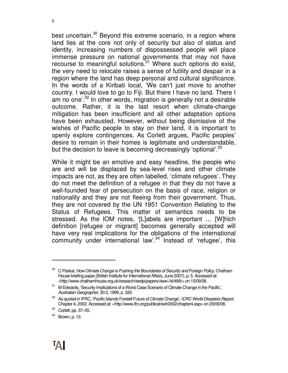best uncertain.<sup>30</sup> Beyond this extreme scenario, in a region where land lies at the core not only of security but also of status and identity, increasing numbers of dispossessed people will place immense pressure on national governments that may not have recourse to meaningful solutions.<sup>31</sup> Where such options do exist, the very need to relocate raises a sense of futility and despair in a region where the land has deep personal and cultural significance. In the words of a Kiribati local, 'We can't just move to another country. I would love to go to Fiji. But there I have no land. There I am no one<sup>'.32</sup> In other words, migration is generally not a desirable outcome. Rather, it is the last resort when climate-change mitigation has been insufficient and all other adaptation options have been exhausted. However, without being dismissive of the wishes of Pacific people to stay on their land, it is important to openly explore contingences. As Corlett argues, Pacific peoples' desire to remain in their homes is legitimate and understandable, but the decision to leave is becoming decreasingly 'optional'.<sup>33</sup>

While it might be an emotive and easy headline, the people who are and will be displaced by sea-level rises and other climate impacts are not, as they are often labelled, 'climate refugees'. They do not meet the definition of a refugee in that they do not have a well-founded fear of persecution on the basis of race, religion or nationality and they are not fleeing from their government. Thus, they are not covered by the UN 1951 Convention Relating to the Status of Refugees. This matter of semantics needs to be stressed. As the IOM notes, '[L]abels are important … [W]hich definition [refugee or migrant] becomes generally accepted will have very real implications for the obligations of the international community under international law<sup>'34</sup> Instead of 'refugee', this

C Paskal, How Climate Change is Pushing the Boundaries of Security and Foreign Policy, Chatham House briefing paper,(British Institute for International Affairs, June 2007), p. 5. Accessed at: <http://www.chathamhouse.org.uk/research/eedp/papers/view/-/id/499/> on 15/09/08.

<sup>&</sup>lt;sup>31</sup> M Edwards, 'Security Implications of a Worst Case Scenario of Climate Change in the Pacific', Australian Geographer, 30:3, 1999, p. 320.

<sup>&</sup>lt;sup>32</sup> As quoted in IFRC, 'Pacific Islands Foretell Future of Climate Change', ICRC World Disasters Report, Chapter 4, 2002. Accessed at: <http://www.ifrc.org/publicat/wdr2002/chapter4.asp> on 29/09/08.

 $33$  Corlett, pp. 37-55.

<sup>34</sup> Brown, p. 13.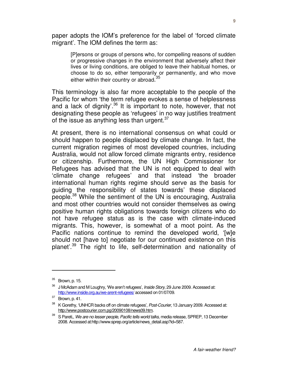paper adopts the IOM's preference for the label of 'forced climate migrant'. The IOM defines the term as:

[P]ersons or groups of persons who, for compelling reasons of sudden or progressive changes in the environment that adversely affect their lives or living conditions, are obliged to leave their habitual homes, or choose to do so, either temporarily or permanently, and who move either within their country or abroad.<sup>35</sup>

This terminology is also far more acceptable to the people of the Pacific for whom 'the term refugee evokes a sense of helplessness and a lack of dignity<sup>'.36</sup> It is important to note, however, that not designating these people as 'refugees' in no way justifies treatment of the issue as anything less than urgent. $37$ 

At present, there is no international consensus on what could or should happen to people displaced by climate change. In fact, the current migration regimes of most developed countries, including Australia, would not allow forced climate migrants entry, residence or citizenship. Furthermore, the UN High Commissioner for Refugees has advised that the UN is not equipped to deal with 'climate change refugees' and that instead 'the broader international human rights regime should serve as the basis for guiding the responsibility of states towards' these displaced people.<sup>38</sup> While the sentiment of the UN is encouraging, Australia and most other countries would not consider themselves as owing positive human rights obligations towards foreign citizens who do not have refugee status as is the case with climate-induced migrants. This, however, is somewhat of a moot point. As the Pacific nations continue to remind the developed world, '[w]e should not [have to] negotiate for our continued existence on this planet'.<sup>39</sup> The right to life, self-determination and nationality of

 $35$  Brown, p. 15.

 $36$  J McAdam and M Loughry, 'We aren't refugees', Inside Story, 29 June 2009. Accessed at: http://www.inside.org.au/we-arent-refugees/ accessed on 01/07/09.

 $37$  Brown, p. 41.

<sup>&</sup>lt;sup>38</sup> K Gorethy, 'UNHCR backs off on climate refugees', Post-Courier, 13 January 2009. Accessed at: http://www.postcourier.com.pg/20090108/news09.htm.

 $39$  S Pareti,, We are no lesser people, Pacific tells world talks, media release, SPREP, 13 December 2008. Accessed at:http://www.sprep.org/article/news\_detail.asp?id=587.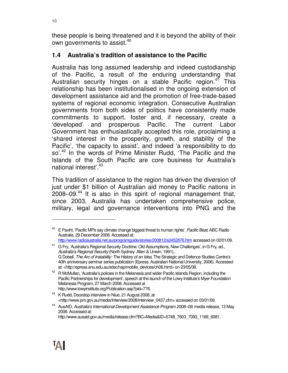these people is being threatened and it is beyond the ability of their own governments to assist.<sup>40</sup>

#### **1.4 Australia's tradition of assistance to the Pacific**

Australia has long assumed leadership and indeed custodianship of the Pacific, a result of the enduring understanding that Australian security hinges on a stable Pacific region. $4^7$  This relationship has been institutionalised in the ongoing extension of development assistance aid and the promotion of free-trade-based systems of regional economic integration. Consecutive Australian governments from both sides of politics have consistently made commitments to support, foster and, if necessary, create a 'developed' and prosperous Pacific. The current Labor Government has enthusiastically accepted this role, proclaiming a 'shared interest in the prosperity, growth, and stability of the Pacific', 'the capacity to assist', and indeed 'a responsibility to do so'.<sup>42</sup> In the words of Prime Minister Rudd, 'The Pacific and the Islands of the South Pacific are core business for Australia's national interest'.<sup>43</sup>

This tradition of assistance to the region has driven the diversion of just under \$1 billion of Australian aid money to Pacific nations in  $2008-09<sup>44</sup>$  It is also in this spirit of regional management that, since 2003, Australia has undertaken comprehensive police, military, legal and governance interventions into PNG and the

E Pavihi, 'Pacific MPs say climate change biggest threat to human rights'. Pacific Beat, ABC Radio Australia, 29 December 2008. Accessed at: http://www.radioaustralia.net.au/programguide/stories/200812/s2452876.htm accessed on 02/01/09.

<sup>&</sup>lt;sup>41</sup> G Fry, 'Australia's Regional Security Doctrine: Old Assumptions, New Challenges', in G Fry, ed., Australia's Regional Security (North Sydney: Allen & Unwin, 1991);. G Dobell, The Arc of Instability: The History of an Idea, The Strategic and Defence Studies Centre's 40th anniversary seminar series publication (Epress, Australian National University, 2006). Accessed

at: <http://epress.anu.edu.au/sdsc/hap/mobile\_devices/ch06.html> on 23/05/08. <sup>42</sup> R McMullan, 'Australia's policies in the Melanesia and wider Pacific Islands Region, including the

Pacific Partnerships for development', speech at the launch of the Lowy Institute's Myer Foundation Melanesia Program, 27 March 2008. Accessed at http://www.lowyinstitute.org/Publication.asp?pid=776.

<sup>&</sup>lt;sup>43</sup> K Rudd, Doorstop interview in Niue, 21 August 2008, at <http://www.pm.gov.au/media/Interview/2008/interview\_0437.cfm> accessed on 03/01/09.

<sup>&</sup>lt;sup>44</sup> AusAID, Australia's International Development Assistance Program 2008–09, media release, 13 May 2008. Accessed at:

http://www.ausaid.gov.au/media/release.cfm?BC=Media&ID=5748\_7603\_7093\_1168\_6081.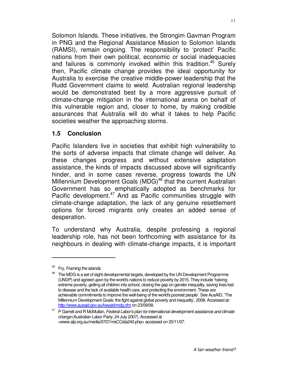Solomon Islands. These initiatives, the Strongim Gavman Program in PNG and the Regional Assistance Mission to Solomon Islands (RAMSI), remain ongoing. The responsibility to 'protect' Pacific nations from their own political, economic or social inadequacies and failures is commonly invoked within this tradition.<sup>45</sup> Surely then, Pacific climate change provides the ideal opportunity for Australia to exercise the creative middle-power leadership that the Rudd Government claims to wield. Australian regional leadership would be demonstrated best by a more aggressive pursuit of climate-change mitigation in the international arena on behalf of this vulnerable region and, closer to home, by making credible assurances that Australia will do what it takes to help Pacific societies weather the approaching storms.

#### **1.5 Conclusion**

Pacific Islanders live in societies that exhibit high vulnerability to the sorts of adverse impacts that climate change will deliver. As these changes progress and without extensive adaptation assistance, the kinds of impacts discussed above will significantly hinder, and in some cases reverse, progress towards the UN Millennium Development Goals (MDG)<sup>46</sup> that the current Australian Government has so emphatically adopted as benchmarks for Pacific development.<sup>47</sup> And as Pacific communities struggle with climate-change adaptation, the lack of any genuine resettlement options for forced migrants only creates an added sense of desperation.

To understand why Australia, despite professing a regional leadership role, has not been forthcoming with assistance for its neighbours in dealing with climate-change impacts, it is important

<sup>&</sup>lt;sup>45</sup> Fry, Framing the islands.

<sup>&</sup>lt;sup>46</sup> The MDG is a set of eight developmental targets, developed by the UN Development Programme (UNDP) and agreed upon by the world's nations to reduce poverty by 2015. They include 'halving extreme poverty, getting all children into school, closing the gap on gender inequality, saving lives lost to disease and the lack of available health care, and protecting the environment. These are achievable commitments to improve the well-being of the world's poorest people'. See AusAID, 'The Millennium Development Goals: the fight against global poverty and inequality', 2008. Accessed at: http://www.ausaid.gov.au/keyaid/mdg.cfm on 23/09/08.

<sup>&</sup>lt;sup>47</sup> P Garrett and R McMullan, Federal Labor's plan for international development assistance and climate change (Australian Labor Party, 24 July 2007). Accessed at <www.alp.org.au/media/0707/msCCida240.php> accessed on 25/11/07.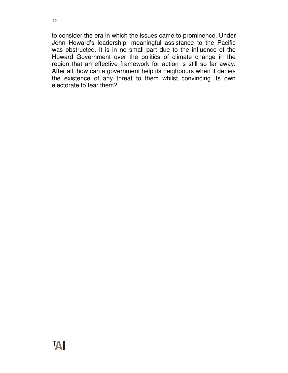to consider the era in which the issues came to prominence. Under John Howard's leadership, meaningful assistance to the Pacific was obstructed. It is in no small part due to the influence of the Howard Government over the politics of climate change in the region that an effective framework for action is still so far away. After all, how can a government help its neighbours when it denies the existence of any threat to them whilst convincing its own electorate to fear them?

**12**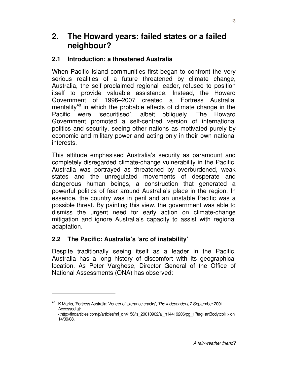#### **2.1 Introduction: a threatened Australia**

When Pacific Island communities first began to confront the very serious realities of a future threatened by climate change, Australia, the self-proclaimed regional leader, refused to position itself to provide valuable assistance. Instead, the Howard Government of 1996–2007 created a 'Fortress Australia' mentality<sup>48</sup> in which the probable effects of climate change in the Pacific were 'securitised', albeit obliquely. The Howard Government promoted a self-centred version of international politics and security, seeing other nations as motivated purely by economic and military power and acting only in their own national interests.

This attitude emphasised Australia's security as paramount and completely disregarded climate-change vulnerability in the Pacific. Australia was portrayed as threatened by overburdened, weak states and the unregulated movements of desperate and dangerous human beings, a construction that generated a powerful politics of fear around Australia's place in the region. In essence, the country was in peril and an unstable Pacific was a possible threat. By painting this view, the government was able to dismiss the urgent need for early action on climate-change mitigation and ignore Australia's capacity to assist with regional adaptation.

#### **2.2 The Pacific: Australia's 'arc of instability'**

 $\overline{a}$ 

Despite traditionally seeing itself as a leader in the Pacific, Australia has a long history of discomfort with its geographical location. As Peter Varghese, Director General of the Office of National Assessments (ONA) has observed:

<sup>&</sup>lt;sup>48</sup> K Marks, 'Fortress Australia: Veneer of tolerance cracks', The Independent, 2 September 2001. Accessed at: <http://findarticles.com/p/articles/mi\_qn4158/is\_20010902/ai\_n14419206/pg\_1?tag=artBody;col1> on

<sup>14/09/08.</sup>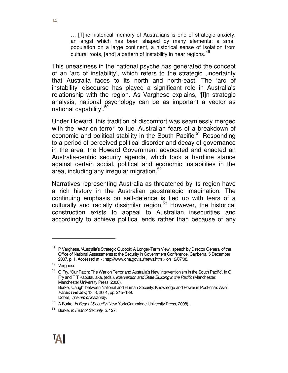… [T]he historical memory of Australians is one of strategic anxiety, an angst which has been shaped by many elements: a small population on a large continent, a historical sense of isolation from cultural roots, [and] a pattern of instability in near regions. 49

This uneasiness in the national psyche has generated the concept of an 'arc of instability', which refers to the strategic uncertainty that Australia faces to its north and north-east. The 'arc of instability' discourse has played a significant role in Australia's relationship with the region. As Varghese explains, '[I]n strategic analysis, national psychology can be as important a vector as national capability'.<sup>50</sup>

Under Howard, this tradition of discomfort was seamlessly merged with the 'war on terror' to fuel Australian fears of a breakdown of economic and political stability in the South Pacific.<sup>51</sup> Responding to a period of perceived political disorder and decay of governance in the area, the Howard Government advocated and enacted an Australia-centric security agenda, which took a hardline stance against certain social, political and economic instabilities in the area, including any irregular migration.<sup>52</sup>

Narratives representing Australia as threatened by its region have a rich history in the Australian geostrategic imagination. The continuing emphasis on self-defence is tied up with fears of a culturally and racially dissimilar region.<sup>53</sup> However, the historical construction exists to appeal to Australian insecurities and accordingly to achieve political ends rather than because of any

<sup>49</sup> P Varghese, 'Australia's Strategic Outlook: A Longer-Term View', speech by Director General of the Office of National Assessments to the Security in Government Conference, Canberra, 5 December 2007, p. 1. Accessed at: < http://www.ona.gov.au/news.htm > on 12/07/08.

<sup>50</sup> Varghese

 $51$  G Fry, 'Our Patch: The War on Terror and Australia's New Interventionism in the South Pacific', in G Fry and T T Kabutaulaka, (eds.), Intervention and State Building in the Pacific (Manchester: Manchester University Press, 2008). Burke, 'Caught between National and Human Security: Knowledge and Power in Post-crisis Asia', Pacifica Review, 13: 3, 2001, pp. 215–139. Dobell, The arc of instability.

<sup>&</sup>lt;sup>52</sup> A Burke, In Fear of Security (New York:Cambridge University Press, 2008).

<sup>&</sup>lt;sup>53</sup> Burke, *In Fear of Security*, p. 127.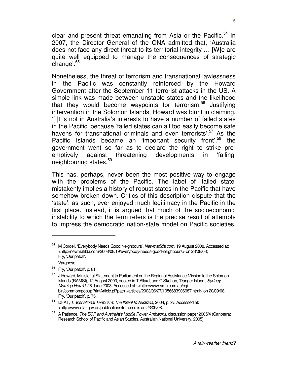clear and present threat emanating from Asia or the Pacific.<sup>54</sup> In 2007, the Director General of the ONA admitted that, 'Australia does not face any direct threat to its territorial integrity … [W]e are quite well equipped to manage the consequences of strategic change'.<sup>55</sup>

Nonetheless, the threat of terrorism and transnational lawlessness in the Pacific was constantly reinforced by the Howard Government after the September 11 terrorist attacks in the US. A simple link was made between unstable states and the likelihood that they would become waypoints for terrorism.<sup>56</sup> Justifying intervention in the Solomon Islands, Howard was blunt in claiming, '[I]t is not in Australia's interests to have a number of failed states in the Pacific' because 'failed states can all too easily become safe havens for transnational criminals and even terrorists'.<sup>57</sup> As the Pacific Islands became an 'important security front',<sup>58</sup> the government went so far as to declare the right to strike preemptively against threatening developments in 'failing' neighbouring states.<sup>59</sup>

This has, perhaps, never been the most positive way to engage with the problems of the Pacific. The label of 'failed state' mistakenly implies a history of robust states in the Pacific that have somehow broken down. Critics of this description dispute that the 'state', as such, ever enjoyed much legitimacy in the Pacific in the first place. Instead, it is argued that much of the socioeconomic instability to which the term refers is the precise result of attempts to impress the democratic nation-state model on Pacific societies.

M Cordell, 'Everybody Needs Good Neighbours', Newmatilda.com, 19 August 2008. Accessed at: <http://newmatilda.com/2008/08/19/everybody-needs-good-neighbours> on 23/08/08; Fry, 'Our patch'.

<sup>&</sup>lt;sup>55</sup> Varghese.

<sup>56</sup> Fry, 'Our patch', p. 81.

<sup>&</sup>lt;sup>57</sup> J Howard, Ministerial Statement to Parliament on the Regional Assistance Mission to the Solomon Islands (RAMSI), 12 August 2003, quoted in T Allard, and C Skehan, 'Danger Island', Sydney Morning Herald, 28 June 2003. Accessed at : <http://www.smh.com.au/cgibin/common/popupPrintArticle.pl?path=/articles/2003/06/27/1056683906987.html> on 20/09/08. Fry, 'Our patch', p. 75.

<sup>&</sup>lt;sup>58</sup> DFAT, Transnational Terrorism: The threat to Australia, 2004, p. xv. Accessed at: <http://www.dfat.gov.au/publications/terrorism> on 23/09/08.

<sup>&</sup>lt;sup>59</sup> A Patience, The ECP and Australia's Middle Power Ambitions, discussion paper 2005/4 (Canberra: Research School of Pacific and Asian Studies, Australian National University, 2005).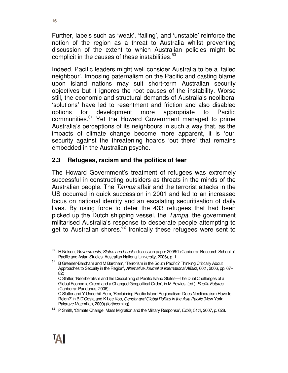Further, labels such as 'weak', 'failing', and 'unstable' reinforce the notion of the region as a threat to Australia whilst preventing discussion of the extent to which Australian policies might be complicit in the causes of these instabilities. $^{60}$ 

Indeed, Pacific leaders might well consider Australia to be a 'failed neighbour'. Imposing paternalism on the Pacific and casting blame upon island nations may suit short-term Australian security objectives but it ignores the root causes of the instability. Worse still, the economic and structural demands of Australia's neoliberal 'solutions' have led to resentment and friction and also disabled options for development more appropriate to Pacific communities.<sup>61</sup> Yet the Howard Government managed to prime Australia's perceptions of its neighbours in such a way that, as the impacts of climate change become more apparent, it is 'our' security against the threatening hoards 'out there' that remains embedded in the Australian psyche.

#### **2.3 Refugees, racism and the politics of fear**

The Howard Government's treatment of refugees was extremely successful in constructing outsiders as threats in the minds of the Australian people. The Tampa affair and the terrorist attacks in the US occurred in quick succession in 2001 and led to an increased focus on national identity and an escalating securitisation of daily lives. By using force to deter the 433 refugees that had been picked up the Dutch shipping vessel, the Tampa, the government militarised Australia's response to desperate people attempting to get to Australian shores.<sup>62</sup> Ironically these refugees were sent to

<sup>&</sup>lt;sup>60</sup> H Nelson, Governments, States and Labels, discussion paper 2006/1 (Canberra: Research School of Pacific and Asian Studies, Australian National University, 2006), p. 1.

<sup>&</sup>lt;sup>61</sup> B Greener-Barcham and M Barcham, 'Terrorism in the South Pacific? Thinking Critically About Approaches to Security in the Region', Alternative Journal of International Affairs, 60:1, 2006, pp. 67– 82;

C Slatter, 'Neoliberalism and the Disciplining of Pacific Island States—The Dual Challenges of a Global Economic Creed and a Changed Geopolitical Order', in M Powles, (ed.), Pacific Futures (Canberra: Pandanus, 2006);

C Slatter and Y Underhill-Sem, 'Reclaiming Pacific Island Regionalism: Does Neoliberalism Have to Reign?' in B D'Costa and K Lee Koo, Gender and Global Politics in the Asia Pacific (New York: Palgrave Macmillan, 2009) (forthcoming).

 $62$  P Smith, 'Climate Change, Mass Migration and the Military Response', Orbis, 51:4, 2007, p. 628.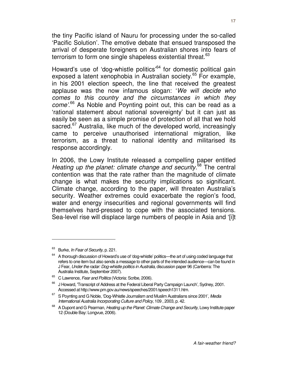the tiny Pacific island of Nauru for processing under the so-called 'Pacific Solution'. The emotive debate that ensued transposed the arrival of desperate foreigners on Australian shores into fears of terrorism to form one single shapeless existential threat. $^{63}$ 

Howard's use of 'dog-whistle politics'<sup>64</sup> for domestic political gain exposed a latent xenophobia in Australian society.<sup>65</sup> For example, in his 2001 election speech, the line that received the greatest applause was the now infamous slogan: 'We will decide who comes to this country and the circumstances in which they come<sup>'.66</sup> As Noble and Poynting point out, this can be read as a 'rational statement about national sovereignty' but it can just as easily be seen as a simple promise of protection of all that we hold sacred.<sup>67</sup> Australia, like much of the developed world, increasingly came to perceive unauthorised international migration, like terrorism, as a threat to national identity and militarised its response accordingly.

In 2006, the Lowy Institute released a compelling paper entitled Heating up the planet: climate change and security.<sup>68</sup> The central contention was that the rate rather than the magnitude of climate change is what makes the security implications so significant. Climate change, according to the paper, will threaten Australia's security. Weather extremes could exacerbate the region's food, water and energy insecurities and regional governments will find themselves hard-pressed to cope with the associated tensions. Sea-level rise will displace large numbers of people in Asia and '[i]t

Burke, *In Fear of Security*, p. 221.

<sup>&</sup>lt;sup>64</sup> A thorough discussion of Howard's use of 'dog-whistle' politics—the art of using coded language that refers to one item but also sends a message to other parts of the intended audience—can be found in J Fear, Under the radar: Dog-whistle politics in Australia, discussion paper 96 (Canberra: The Australia Institute, September 2007).

<sup>&</sup>lt;sup>65</sup> C Lawrence, Fear and Politics (Victoria: Scribe, 2006).

 $66$  J Howard, Transcript of Address at the Federal Liberal Party Campaign Launch', Sydney, 2001. Accessed at http://www.pm.gov.au/news/speeches/2001/speech1311.htm.

 $67$  S Poynting and G Noble, 'Dog-Whistle Journalism and Muslim Australians since 2001', Media International Australia Incorporating Culture and Policy, 109 , 2003, p. 42.

<sup>&</sup>lt;sup>68</sup> A Dupont and G Pearman, *Heating up the Planet: Climate Change and Security*, Lowy Institute paper 12 (Double Bay: Longvue, 2006).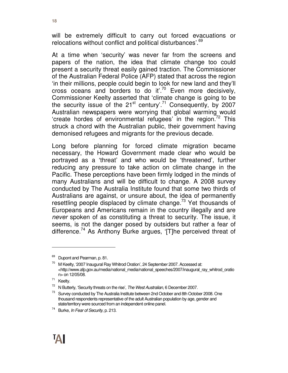will be extremely difficult to carry out forced evacuations or relocations without conflict and political disturbances'.<sup>69</sup>

At a time when 'security' was never far from the screens and papers of the nation, the idea that climate change too could present a security threat easily gained traction. The Commissioner of the Australian Federal Police (AFP) stated that across the region 'in their millions, people could begin to look for new land and they'll cross oceans and borders to do it<sup>'.70</sup> Even more decisively, Commissioner Keelty asserted that 'climate change is going to be the security issue of the  $21^{st}$  century'.<sup>71</sup> Consequently, by 2007 Australian newspapers were worrying that global warming would 'create hordes of environmental refugees' in the region.<sup>72</sup> This struck a chord with the Australian public, their government having demonised refugees and migrants for the previous decade.

Long before planning for forced climate migration became necessary, the Howard Government made clear who would be portrayed as a 'threat' and who would be 'threatened', further reducing any pressure to take action on climate change in the Pacific. These perceptions have been firmly lodged in the minds of many Australians and will be difficult to change. A 2008 survey conducted by The Australia Institute found that some two thirds of Australians are against, or unsure about, the idea of permanently resettling people displaced by climate change.<sup>73</sup> Yet thousands of Europeans and Americans remain in the country illegally and are never spoken of as constituting a threat to security. The issue, it seems, is not the danger posed by outsiders but rather a fear of difference.<sup>74</sup> As Anthony Burke argues, '[T]he perceived threat of

<sup>&</sup>lt;sup>69</sup> Dupont and Pearman, p. 81.

 $70$  M Keelty, '2007 Inaugural Ray Whitrod Oration', 24 September 2007. Accessed at: <http://www.afp.gov.au/media/national\_media/national\_speeches/2007/inaugural\_ray\_whitrod\_oratio n> on 12/05/08.

<sup>71</sup> Keelty.

 $72$  N Butterly, 'Security threats on the rise', The West Australian, 6 December 2007.

 $73$  Survey conducted by The Australia Institute between 2nd October and 8th October 2008. One thousand respondents representative of the adult Australian population by age, gender and state/territory were sourced from an independent online panel.

<sup>&</sup>lt;sup>74</sup> Burke, In Fear of Security, p. 213.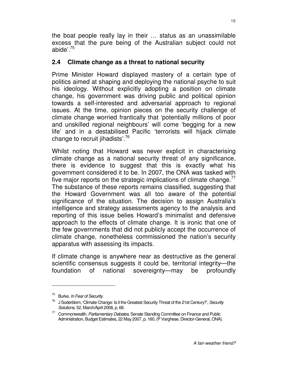the boat people really lay in their … status as an unassimilable excess that the pure being of the Australian subject could not abide'.<sup>75</sup>

#### **2.4 Climate change as a threat to national security**

Prime Minister Howard displayed mastery of a certain type of politics aimed at shaping and deploying the national psyche to suit his ideology. Without explicitly adopting a position on climate change, his government was driving public and political opinion towards a self-interested and adversarial approach to regional issues. At the time, opinion pieces on the security challenge of climate change worried frantically that 'potentially millions of poor and unskilled regional neighbours' will come 'begging for a new life' and in a destabilised Pacific 'terrorists will hijack climate change to recruit jihadists'.<sup>76</sup>

Whilst noting that Howard was never explicit in characterising climate change as a national security threat of any significance, there is evidence to suggest that this is exactly what his government considered it to be. In 2007, the ONA was tasked with five major reports on the strategic implications of climate change. $^{77}$ The substance of these reports remains classified, suggesting that the Howard Government was all too aware of the potential significance of the situation. The decision to assign Australia's intelligence and strategy assessments agency to the analysis and reporting of this issue belies Howard's minimalist and defensive approach to the effects of climate change. It is ironic that one of the few governments that did not publicly accept the occurrence of climate change, nonetheless commissioned the nation's security apparatus with assessing its impacts.

If climate change is anywhere near as destructive as the general scientific consensus suggests it could be, territorial integrity—the foundation of national sovereignty—may be profoundly

<sup>&</sup>lt;sup>75</sup> Burke, In Fear of Security.

 $76$  J Soderblom, 'Climate Change: Is it the Greatest Security Threat of the 21st Century?', Security Solutions, 52, March/April 2008, p. 68.

<sup>&</sup>lt;sup>77</sup> Commonwealth, Parliamentary Debates, Senate Standing Committee on Finance and Public Administration, Budget Estimates, 22 May 2007, p. 160, (P Varghese, Director-General, ONA).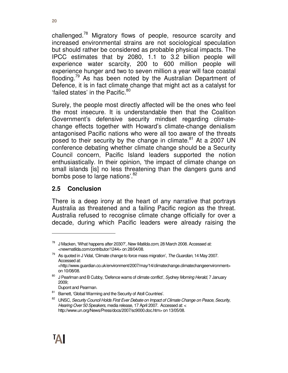challenged.<sup>78</sup> Migratory flows of people, resource scarcity and increased environmental strains are not sociological speculation but should rather be considered as probable physical impacts. The IPCC estimates that by 2080, 1.1 to 3.2 billion people will experience water scarcity, 200 to 600 million people will experience hunger and two to seven million a year will face coastal flooding.<sup>79</sup> As has been noted by the Australian Department of Defence, it is in fact climate change that might act as a catalyst for 'failed states' in the Pacific.<sup>80</sup>

Surely, the people most directly affected will be the ones who feel the most insecure. It is understandable then that the Coalition Government's defensive security mindset regarding climatechange effects together with Howard's climate-change denialism antagonised Pacific nations who were all too aware of the threats posed to their security by the change in climate.<sup>81</sup> At a 2007 UN conference debating whether climate change should be a Security Council concern, Pacific Island leaders supported the notion enthusiastically. In their opinion, 'the impact of climate change on small islands [is] no less threatening than the dangers guns and bombs pose to large nations'.<sup>82</sup>

#### **2.5 Conclusion**

There is a deep irony at the heart of any narrative that portrays Australia as threatened and a failing Pacific region as the threat. Australia refused to recognise climate change officially for over a decade, during which Pacific leaders were already raising the

J Macken, 'What happens after 2030?', New Matilda.com, 28 March 2008. Accessed at: <newmatilda.com/contributor/1244> on 28/04/08.

 $79$  As quoted in J Vidal, 'Climate change to force mass migration', The Guardian, 14 May 2007. Accessed at: <http://www.guardian.co.uk/environment/2007/may/14/climatechange.climatechangeenvironment> on 10/08/08.

<sup>&</sup>lt;sup>80</sup> J Pearlman and B Cubby, 'Defence warns of climate conflict', Sydney Morning Herald, 7 January 2009;

Dupont and Pearman.

<sup>81</sup> Barnett, 'Global Warming and the Security of Atoll Countries'.

<sup>&</sup>lt;sup>82</sup> UNSC, Security Council Holds First Ever Debate on Impact of Climate Change on Peace, Security, Hearing Over 50 Speakers, media release, 17 April 2007. Accessed at: < http://www.un.org/News/Press/docs/2007/sc9000.doc.htm> on 13/05/08.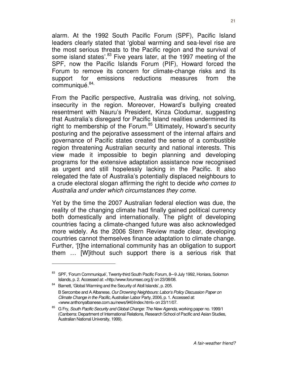alarm. At the 1992 South Pacific Forum (SPF), Pacific Island leaders clearly stated that 'global warming and sea-level rise are the most serious threats to the Pacific region and the survival of some island states<sup>'83</sup> Five years later, at the 1997 meeting of the SPF, now the Pacific Islands Forum (PIF), Howard forced the Forum to remove its concern for climate-change risks and its support for emissions reductions measures from the communiqué. 84,

From the Pacific perspective, Australia was driving, not solving, insecurity in the region. Moreover, Howard's bullying created resentment with Nauru's President, Kinza Clodumar, suggesting that Australia's disregard for Pacific Island realities undermined its right to membership of the Forum.<sup>85</sup> Ultimately, Howard's security posturing and the pejorative assessment of the internal affairs and governance of Pacific states created the sense of a combustible region threatening Australian security and national interests. This view made it impossible to begin planning and developing programs for the extensive adaptation assistance now recognised as urgent and still hopelessly lacking in the Pacific. It also relegated the fate of Australia's potentially displaced neighbours to a crude electoral slogan affirming the right to decide who comes to Australia and under which circumstances they come.

Yet by the time the 2007 Australian federal election was due, the reality of the changing climate had finally gained political currency both domestically and internationally. The plight of developing countries facing a climate-changed future was also acknowledged more widely. As the 2006 Stern Review made clear, developing countries cannot themselves finance adaptation to climate change. Further, '[t]he international community has an obligation to support them … [W]ithout such support there is a serious risk that

<sup>83</sup> SPF, 'Forum Communiqué', Twenty-third South Pacific Forum, 8–-9 July 1992, Honiara, Solomon Islands, p. 2. Accessed at: <http://www.forumsec.org.fj/ on 23/08/08.

<sup>84</sup> Barnett, 'Global Warming and the Security of Atoll Islands', p. 205. B Sercombe and A Albanese, Our Drowning Neighbours: Labor's Policy Discussion Paper on Climate Change in the Pacific, Australian Labor Party, 2006, p. 1. Accessed at: <www.anthonyalbanese.com.au/news/940/index.html> on 23/11/07.

<sup>&</sup>lt;sup>85</sup> G Fry, South Pacific Security and Global Change: The New Agenda, working paper no. 1999/1 (Canberra: Department of International Relations, Research School of Pacific and Asian Studies, Australian National University, 1999).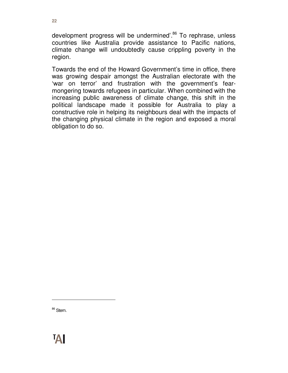development progress will be undermined'.<sup>86</sup> To rephrase, unless countries like Australia provide assistance to Pacific nations, climate change will undoubtedly cause crippling poverty in the region.

Towards the end of the Howard Government's time in office, there was growing despair amongst the Australian electorate with the 'war on terror' and frustration with the government's fearmongering towards refugees in particular. When combined with the increasing public awareness of climate change, this shift in the political landscape made it possible for Australia to play a constructive role in helping its neighbours deal with the impacts of the changing physical climate in the region and exposed a moral obligation to do so.

<sup>86</sup> Stern.

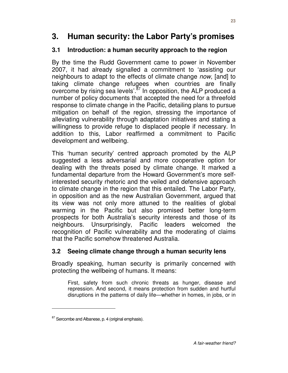# **3. Human security: the Labor Party's promises**

#### **3.1 Introduction: a human security approach to the region**

By the time the Rudd Government came to power in November 2007, it had already signalled a commitment to 'assisting our neighbours to adapt to the effects of climate change now, [and] to taking climate change refugees when countries are finally overcome by rising sea levels<sup>'. $87$ </sup> In opposition, the ALP produced a number of policy documents that accepted the need for a threefold response to climate change in the Pacific, detailing plans to pursue mitigation on behalf of the region, stressing the importance of alleviating vulnerability through adaptation initiatives and stating a willingness to provide refuge to displaced people if necessary. In addition to this, Labor reaffirmed a commitment to Pacific development and wellbeing.

This 'human security' centred approach promoted by the ALP suggested a less adversarial and more cooperative option for dealing with the threats posed by climate change. It marked a fundamental departure from the Howard Government's more selfinterested security rhetoric and the veiled and defensive approach to climate change in the region that this entailed. The Labor Party, in opposition and as the new Australian Government, argued that its view was not only more attuned to the realities of global warming in the Pacific but also promised better long-term prospects for both Australia's security interests and those of its neighbours. Unsurprisingly, Pacific leaders welcomed the recognition of Pacific vulnerability and the moderating of claims that the Pacific somehow threatened Australia.

#### **3.2 Seeing climate change through a human security lens**

Broadly speaking, human security is primarily concerned with protecting the wellbeing of humans. It means:

First, safety from such chronic threats as hunger, disease and repression. And second, it means protection from sudden and hurtful disruptions in the patterns of daily life—whether in homes, in jobs, or in

 $87$  Sercombe and Albanese, p. 4 (original emphasis).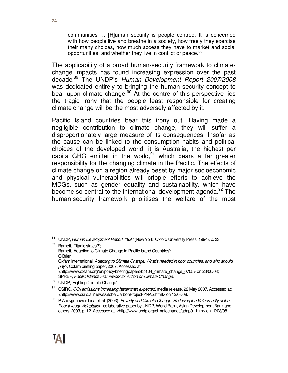communities … [H]uman security is people centred. It is concerned with how people live and breathe in a society, how freely they exercise their many choices, how much access they have to market and social opportunities, and whether they live in conflict or peace.<sup>88</sup>

The applicability of a broad human-security framework to climatechange impacts has found increasing expression over the past decade.<sup>89</sup> The UNDP's Human Development Report 2007/2008 was dedicated entirely to bringing the human security concept to bear upon climate change.<sup>90</sup> At the centre of this perspective lies the tragic irony that the people least responsible for creating climate change will be the most adversely affected by it.

Pacific Island countries bear this irony out. Having made a negligible contribution to climate change, they will suffer a disproportionately large measure of its consequences. Insofar as the cause can be linked to the consumption habits and political choices of the developed world, it is Australia, the highest per capita GHG emitter in the world, $91$  which bears a far greater responsibility for the changing climate in the Pacific. The effects of climate change on a region already beset by major socioeconomic and physical vulnerabilities will cripple efforts to achieve the MDGs, such as gender equality and sustainability, which have become so central to the international development agenda.<sup>92</sup> The human-security framework prioritises the welfare of the most

<sup>88</sup> UNDP, Human Development Report, 1994 (New York: Oxford University Press, 1994), p. 23.

<sup>89</sup> Barnett, 'Titanic states?'; Barnett, 'Adapting to Climate Change in Pacific Island Countries'; O'Brien; Oxfam International, Adapting to Climate Change: What's needed in poor countries, and who should pay?, Oxfam briefing paper, 2007. Accessed at <http://www.oxfam.org/en/policy/briefingpapers/bp104\_climate\_change\_0705> on 23/06/08; SPREP, Pacific Islands Framework for Action on Climate Change.

<sup>90</sup> UNDP, 'Fighting Climate Change'.

 $91$  CSIRO,  $CO<sub>2</sub>$  emissions increasing faster than expected, media release, 22 May 2007. Accessed at: <http://www.csiro.au/news/GlobalCarbonProject-PNAS.html> on 12/08/08.

<sup>92</sup> P Abeygunawardena et. al. (2003). Poverty and Climate Change: Reducing the Vulnerability of the Poor through Adaptation, collaborative paper by UNDP, World Bank, Asian Development Bank and others, 2003, p. 12. Accessed at: <http://www.undp.org/climatechange/adap01.htm> on 10/08/08.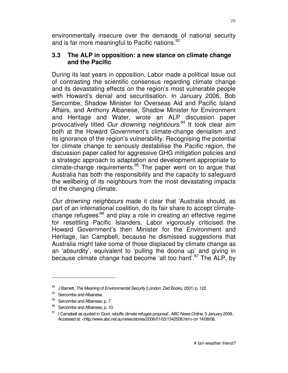environmentally insecure over the demands of national security and is far more meaningful to Pacific nations.<sup>93</sup>

#### **3.3 The ALP in opposition: a new stance on climate change and the Pacific**

During its last years in opposition, Labor made a political issue out of contrasting the scientific consensus regarding climate change and its devastating effects on the region's most vulnerable people with Howard's denial and securitisation. In January 2006, Bob Sercombe, Shadow Minister for Overseas Aid and Pacific Island Affairs, and Anthony Albanese, Shadow Minister for Environment and Heritage and Water, wrote an ALP discussion paper provocatively titled Our drowning neighbours.<sup>94</sup> It took clear aim both at the Howard Government's climate-change denialism and its ignorance of the region's vulnerability. Recognising the potential for climate change to seriously destabilise the Pacific region, the discussion paper called for aggressive GHG mitigation policies and a strategic approach to adaptation and development appropriate to climate-change requirements. $95$  The paper went on to argue that Australia has both the responsibility and the capacity to safeguard the wellbeing of its neighbours from the most devastating impacts of the changing climate.

Our drowning neighbours made it clear that 'Australia should, as part of an international coalition, do its fair share to accept climatechange refugees'<sup>96</sup> and play a role in creating an effective regime for resettling Pacific Islanders. Labor vigorously criticised the Howard Government's then Minister for the Environment and Heritage, Ian Campbell, because he dismissed suggestions that Australia might take some of those displaced by climate change as an 'absurdity', equivalent to 'pulling the doona up' and giving in because climate change had become 'all too hard'.<sup>97</sup> The ALP, by

<sup>93</sup> J Barnett, The Meaning of Environmental Security (London: Zed Books, 2001) p. 122.

<sup>94</sup> Sercombe and Albanese.

<sup>&</sup>lt;sup>95</sup> Sercombe and Albanese, p. 7.

<sup>96</sup> Sercombe and Albanese, p. 10.

<sup>97</sup> I Campbell as quoted in 'Govt. rebuffs climate refugee proposal', ABC News Online, 5 January 2006. Accessed at: <http://www.abc.net.au/news/stories/2006/01/05/1542508.htm> on 14/08/08.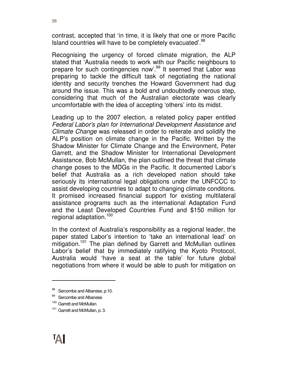contrast, accepted that 'in time, it is likely that one or more Pacific Island countries will have to be completely evacuated'.<sup>98</sup>

Recognising the urgency of forced climate migration, the ALP stated that 'Australia needs to work with our Pacific neighbours to prepare for such contingencies now'.<sup>99</sup> It seemed that Labor was preparing to tackle the difficult task of negotiating the national identity and security trenches the Howard Government had dug around the issue. This was a bold and undoubtedly onerous step, considering that much of the Australian electorate was clearly uncomfortable with the idea of accepting 'others' into its midst.

Leading up to the 2007 election, a related policy paper entitled Federal Labor's plan for International Development Assistance and Climate Change was released in order to reiterate and solidify the ALP's position on climate change in the Pacific. Written by the Shadow Minister for Climate Change and the Environment, Peter Garrett, and the Shadow Minister for International Development Assistance, Bob McMullan, the plan outlined the threat that climate change poses to the MDGs in the Pacific. It documented Labor's belief that Australia as a rich developed nation should take seriously its international legal obligations under the UNFCCC to assist developing countries to adapt to changing climate conditons. It promised increased financial support for existing multilateral assistance programs such as the international Adaptation Fund and the Least Developed Countries Fund and \$150 million for regional adaptation.<sup>100</sup>

In the context of Australia's responsibility as a regional leader, the paper stated Labor's intention to 'take an international lead' on mitigation.<sup>101</sup> The plan defined by Garrett and McMullan outlines Labor's belief that by immediately ratifying the Kyoto Protocol, Australia would 'have a seat at the table' for future global negotiations from where it would be able to push for mitigation on

<sup>98</sup> Sercombe and Albanese, p.10.

<sup>99</sup> Sercombe and Albanese.

<sup>&</sup>lt;sup>100</sup> Garrett and McMullan.

<sup>&</sup>lt;sup>101</sup> Garrett and McMullan, p. 3.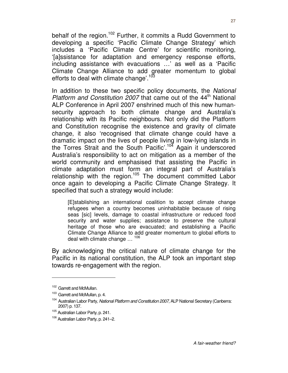behalf of the region.<sup>102</sup> Further, it commits a Rudd Government to developing a specific 'Pacific Climate Change Strategy' which includes a 'Pacific Climate Centre' for scientific monitoring, '[a]ssistance for adaptation and emergency response efforts, including assistance with evacuations …' as well as a 'Pacific Climate Change Alliance to add greater momentum to global efforts to deal with climate change'.<sup>103</sup>

In addition to these two specific policy documents, the National Platform and Constitution 2007 that came out of the  $44<sup>th</sup>$  National ALP Conference in April 2007 enshrined much of this new humansecurity approach to both climate change and Australia's relationship with its Pacific neighbours. Not only did the Platform and Constitution recognise the existence and gravity of climate change, it also 'recognised that climate change could have a dramatic impact on the lives of people living in low-lying islands in the Torres Strait and the South Pacific'.<sup>104</sup> Again it underscored Australia's responsibility to act on mitigation as a member of the world community and emphasised that assisting the Pacific in climate adaptation must form an integral part of Australia's relationship with the region.<sup>105</sup> The document committed Labor once again to developing a Pacific Climate Change Strategy. It specified that such a strategy would include:

[E]stablishing an international coalition to accept climate change refugees when a country becomes uninhabitable because of rising seas [sic] levels, damage to coastal infrastructure or reduced food security and water supplies; assistance to preserve the cultural heritage of those who are evacuated; and establishing a Pacific Climate Change Alliance to add greater momentum to global efforts to deal with climate change ...<sup>106</sup>

By acknowledging the critical nature of climate change for the Pacific in its national constitution, the ALP took an important step towards re-engagement with the region.

<sup>&</sup>lt;sup>102</sup> Garrett and McMullan.

<sup>&</sup>lt;sup>103</sup> Garrett and McMullan, p. 4.

<sup>&</sup>lt;sup>104</sup> Australian Labor Party, National Platform and Constitution 2007, ALP National Secretary (Canberra: 2007) p. 137.

<sup>105</sup> Australian Labor Party, p. 241.

<sup>106</sup> Australian Labor Party, p. 241–2.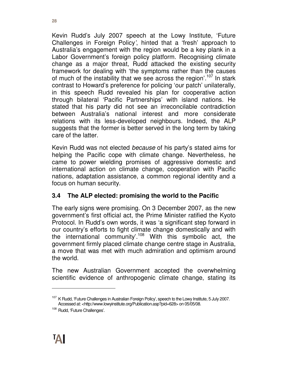Kevin Rudd's July 2007 speech at the Lowy Institute, 'Future Challenges in Foreign Policy', hinted that a 'fresh' approach to Australia's engagement with the region would be a key plank in a Labor Government's foreign policy platform. Recognising climate change as a major threat, Rudd attacked the existing security framework for dealing with 'the symptoms rather than the causes of much of the instability that we see across the region<sup>'.107</sup> In stark contrast to Howard's preference for policing 'our patch' unilaterally, in this speech Rudd revealed his plan for cooperative action through bilateral 'Pacific Partnerships' with island nations. He stated that his party did not see an irreconcilable contradiction between Australia's national interest and more considerate relations with its less-developed neighbours. Indeed, the ALP suggests that the former is better served in the long term by taking care of the latter.

Kevin Rudd was not elected because of his party's stated aims for helping the Pacific cope with climate change. Nevertheless, he came to power wielding promises of aggressive domestic and international action on climate change, cooperation with Pacific nations, adaptation assistance, a common regional identity and a focus on human security.

## **3.4 The ALP elected: promising the world to the Pacific**

The early signs were promising. On 3 December 2007, as the new government's first official act, the Prime Minister ratified the Kyoto Protocol. In Rudd's own words, it was 'a significant step forward in our country's efforts to fight climate change domestically and with the international community'.<sup>108</sup> With this symbolic act, the government firmly placed climate change centre stage in Australia, a move that was met with much admiration and optimism around the world.

The new Australian Government accepted the overwhelming scientific evidence of anthropogenic climate change, stating its

<sup>&</sup>lt;sup>107</sup> K Rudd, 'Future Challenges in Australian Foreign Policy', speech to the Lowy Institute, 5 July 2007. Accessed at: <http://www.lowyinstitute.org/Publication.asp?pid=628> on 05/05/08.

<sup>108</sup> Rudd, 'Future Challenges'.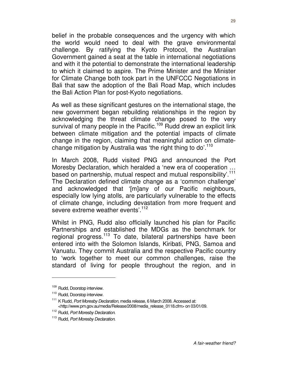belief in the probable consequences and the urgency with which the world would need to deal with the grave environmental challenge. By ratifying the Kyoto Protocol, the Australian Government gained a seat at the table in international negotiations and with it the potential to demonstrate the international leadership to which it claimed to aspire. The Prime Minister and the Minister for Climate Change both took part in the UNFCCC Negotiations in Bali that saw the adoption of the Bali Road Map, which includes the Bali Action Plan for post-Kyoto negotiations.

As well as these significant gestures on the international stage, the new government began rebuilding relationships in the region by acknowledging the threat climate change posed to the very survival of many people in the Pacific.<sup>109</sup> Rudd drew an explicit link between climate mitigation and the potential impacts of climate change in the region, claiming that meaningful action on climatechange mitigation by Australia was 'the right thing to do'.<sup>110</sup>

In March 2008, Rudd visited PNG and announced the Port Moresby Declaration, which heralded a 'new era of cooperation … based on partnership, mutual respect and mutual responsibility'.<sup>111</sup> The Declaration defined climate change as a 'common challenge' and acknowledged that '[m]any of our Pacific neighbours, especially low lying atolls, are particularly vulnerable to the effects of climate change, including devastation from more frequent and severe extreme weather events'.<sup>112</sup>

Whilst in PNG, Rudd also officially launched his plan for Pacific Partnerships and established the MDGs as the benchmark for regional progress.<sup>113</sup> To date, bilateral partnerships have been entered into with the Solomon Islands, Kiribati, PNG, Samoa and Vanuatu. They commit Australia and the respective Pacific country to 'work together to meet our common challenges, raise the standard of living for people throughout the region, and in

<sup>109</sup> Rudd, Doorstop interview.

<sup>&</sup>lt;sup>110</sup> Rudd, Doorstop interview.

<sup>&</sup>lt;sup>111</sup> K Rudd, Port Moresby Declaration, media release, 6 March 2008. Accessed at: <http://www.pm.gov.au/media/Release/2008/media\_release\_0118.cfm> on 03/01/09.

<sup>&</sup>lt;sup>112</sup> Rudd, Port Moresby Declaration.

<sup>&</sup>lt;sup>113</sup> Rudd, Port Moresby Declaration.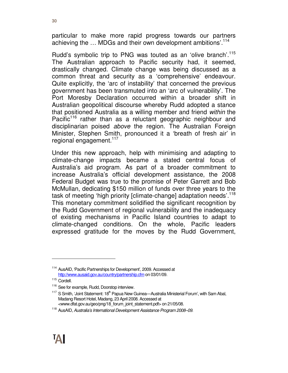particular to make more rapid progress towards our partners achieving the ... MDGs and their own development ambitions'.<sup>114</sup>

Rudd's symbolic trip to PNG was touted as an 'olive branch'.<sup>115</sup> The Australian approach to Pacific security had, it seemed, drastically changed. Climate change was being discussed as a common threat and security as a 'comprehensive' endeavour. Quite explicitly, the 'arc of instability' that concerned the previous government has been transmuted into an 'arc of vulnerability'. The Port Moresby Declaration occurred within a broader shift in Australian geopolitical discourse whereby Rudd adopted a stance that positioned Australia as a willing member and friend within the Pacific<sup>116</sup> rather than as a reluctant geographic neighbour and disciplinarian poised above the region. The Australian Foreign Minister, Stephen Smith, pronounced it a 'breath of fresh air' in regional engagement.<sup>117</sup>

Under this new approach, help with minimising and adapting to climate-change impacts became a stated central focus of Australia's aid program. As part of a broader commitment to increase Australia's official development assistance, the 2008 Federal Budget was true to the promise of Peter Garrett and Bob McMullan, dedicating \$150 million of funds over three years to the task of meeting 'high priority [climate-change] adaptation needs'.<sup>118</sup> This monetary commitment solidified the significant recognition by the Rudd Government of regional vulnerability and the inadequacy of existing mechanisms in Pacific Island countries to adapt to climate-changed conditions. On the whole, Pacific leaders expressed gratitude for the moves by the Rudd Government,

<sup>&</sup>lt;sup>114</sup> AusAID, 'Pacific Partnerships for Development', 2009. Accessed at http://www.ausaid.gov.au/country/partnership.cfm on 03/01/09.

<sup>115</sup> Cordell.

<sup>&</sup>lt;sup>116</sup> See for example, Rudd, Doorstop interview.

 $117$  S Smith, 'Joint Statement:  $18<sup>th</sup>$  Papua New Guinea—Australia Ministerial Forum', with Sam Abal, Madang Resort Hotel, Madang, 23 April 2008. Accessed at <www.dfat.gov.au/geo/png/18\_forum\_joint\_statement.pdf> on 21/05/08.

<sup>&</sup>lt;sup>118</sup> AusAID, Australia's International Development Assistance Program 2008–09.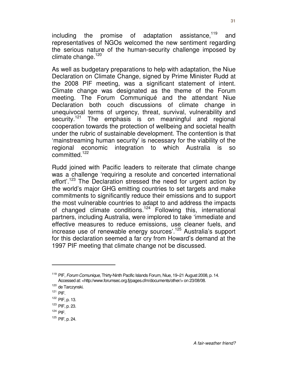including the promise of adaptation assistance, $119$  and representatives of NGOs welcomed the new sentiment regarding the serious nature of the human-security challenge imposed by climate change. $120$ 

As well as budgetary preparations to help with adaptation, the Niue Declaration on Climate Change, signed by Prime Minister Rudd at the 2008 PIF meeting, was a significant statement of intent. Climate change was designated as the theme of the Forum meeting. The Forum Communiqué and the attendant Niue Declaration both couch discussions of climate change in unequivocal terms of urgency, threat, survival, vulnerability and security.<sup>121</sup> The emphasis is on meaningful and regional cooperation towards the protection of wellbeing and societal health under the rubric of sustainable development. The contention is that 'mainstreaming human security' is necessary for the viability of the regional economic integration to which Australia is so committed.<sup>122</sup>

Rudd joined with Pacific leaders to reiterate that climate change was a challenge 'requiring a resolute and concerted international effort'.<sup>123</sup> The Declaration stressed the need for urgent action by the world's major GHG emitting countries to set targets and make commitments to significantly reduce their emissions and to support the most vulnerable countries to adapt to and address the impacts of changed climate conditions.<sup>124</sup> Following this, international partners, including Australia, were implored to take 'immediate and effective measures to reduce emissions, use cleaner fuels, and increase use of renewable energy sources<sup>'.125</sup> Australia's support for this declaration seemed a far cry from Howard's demand at the 1997 PIF meeting that climate change not be discussed.

 $\overline{a}$ 

 $124$  PIF.

<sup>&</sup>lt;sup>119</sup> PIF, Forum Comunique, Thirty-Ninth Pacific Islands Forum, Niue, 19-21 August 2008, p. 14. Accessed at: <http://www.forumsec.org.fj/pages.cfm/documents/other/> on 23/08/08.

<sup>&</sup>lt;sup>120</sup> de Tarczynski.

 $121$  PIF.

<sup>122</sup> PIF, p. 13.

<sup>123</sup> PIF, p. 23.

<sup>125</sup> PIF, p. 24.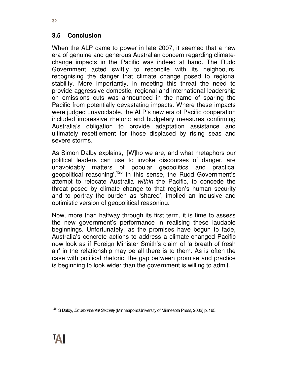## **3.5 Conclusion**

When the ALP came to power in late 2007, it seemed that a new era of genuine and generous Australian concern regarding climatechange impacts in the Pacific was indeed at hand. The Rudd Government acted swiftly to reconcile with its neighbours, recognising the danger that climate change posed to regional stability. More importantly, in meeting this threat the need to provide aggressive domestic, regional and international leadership on emissions cuts was announced in the name of sparing the Pacific from potentially devastating impacts. Where these impacts were judged unavoidable, the ALP's new era of Pacific cooperation included impressive rhetoric and budgetary measures confirming Australia's obligation to provide adaptation assistance and ultimately resettlement for those displaced by rising seas and severe storms.

As Simon Dalby explains, '[W]ho we are, and what metaphors our political leaders can use to invoke discourses of danger, are unavoidably matters of popular geopolitics and practical geopolitical reasoning<sup>'.126</sup> In this sense, the Rudd Government's attempt to relocate Australia within the Pacific, to concede the threat posed by climate change to that region's human security and to portray the burden as 'shared', implied an inclusive and optimistic version of geopolitical reasoning.

Now, more than halfway through its first term, it is time to assess the new government's performance in realising these laudable beginnings. Unfortunately, as the promises have begun to fade, Australia's concrete actions to address a climate-changed Pacific now look as if Foreign Minister Smith's claim of 'a breath of fresh air' in the relationship may be all there is to them. As is often the case with political rhetoric, the gap between promise and practice is beginning to look wider than the government is willing to admit.

<sup>&</sup>lt;sup>126</sup> S Dalby, *Environmental Security* (Minneapolis: University of Minnesota Press, 2002) p. 165.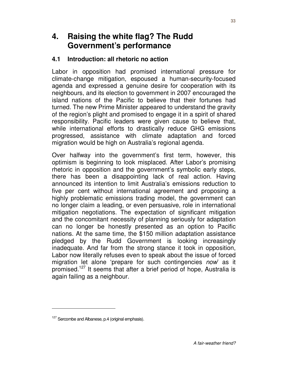# **4. Raising the white flag? The Rudd Government's performance**

### **4.1 Introduction: all rhetoric no action**

Labor in opposition had promised international pressure for climate-change mitigation, espoused a human-security-focused agenda and expressed a genuine desire for cooperation with its neighbours, and its election to government in 2007 encouraged the island nations of the Pacific to believe that their fortunes had turned. The new Prime Minister appeared to understand the gravity of the region's plight and promised to engage it in a spirit of shared responsibility. Pacific leaders were given cause to believe that, while international efforts to drastically reduce GHG emissions progressed, assistance with climate adaptation and forced migration would be high on Australia's regional agenda.

Over halfway into the government's first term, however, this optimism is beginning to look misplaced. After Labor's promising rhetoric in opposition and the government's symbolic early steps, there has been a disappointing lack of real action. Having announced its intention to limit Australia's emissions reduction to five per cent without international agreement and proposing a highly problematic emissions trading model, the government can no longer claim a leading, or even persuasive, role in international mitigation negotiations. The expectation of significant mitigation and the concomitant necessity of planning seriously for adaptation can no longer be honestly presented as an option to Pacific nations. At the same time, the \$150 million adaptation assistance pledged by the Rudd Government is looking increasingly inadequate. And far from the strong stance it took in opposition, Labor now literally refuses even to speak about the issue of forced migration let alone 'prepare for such contingencies now' as it promised.<sup>127</sup> It seems that after a brief period of hope, Australia is again failing as a neighbour.

<sup>&</sup>lt;sup>127</sup> Sercombe and Albanese, p.4 (original emphasis).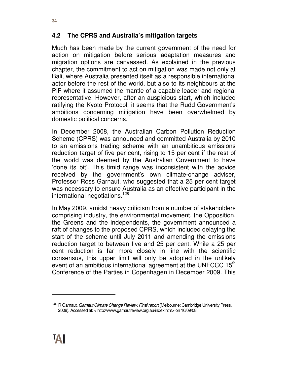Much has been made by the current government of the need for action on mitigation before serious adaptation measures and migration options are canvassed. As explained in the previous chapter, the commitment to act on mitigation was made not only at Bali, where Australia presented itself as a responsible international actor before the rest of the world, but also to its neighbours at the PIF where it assumed the mantle of a capable leader and regional representative. However, after an auspicious start, which included ratifying the Kyoto Protocol, it seems that the Rudd Government's ambitions concerning mitigation have been overwhelmed by domestic political concerns.

In December 2008, the Australian Carbon Pollution Reduction Scheme (CPRS) was announced and committed Australia by 2010 to an emissions trading scheme with an unambitious emissions reduction target of five per cent, rising to 15 per cent if the rest of the world was deemed by the Australian Government to have 'done its bit'. This timid range was inconsistent with the advice received by the government's own climate-change adviser, Professor Ross Garnaut, who suggested that a 25 per cent target was necessary to ensure Australia as an effective participant in the international negotiations.<sup>128</sup>

In May 2009, amidst heavy criticism from a number of stakeholders comprising industry, the environmental movement, the Opposition, the Greens and the independents, the government announced a raft of changes to the proposed CPRS, which included delaying the start of the scheme until July 2011 and amending the emissions reduction target to between five and 25 per cent. While a 25 per cent reduction is far more closely in line with the scientific consensus, this upper limit will only be adopted in the unlikely event of an ambitious international agreement at the UNFCCC  $15<sup>th</sup>$ Conference of the Parties in Copenhagen in December 2009. This

<sup>&</sup>lt;sup>128</sup> R Garnaut, *Garnaut Climate Change Review: Final report* (Melbourne: Cambridge University Press, 2008). Accessed at: < http://www.garnautreview.org.au/index.htm> on 10/09/08.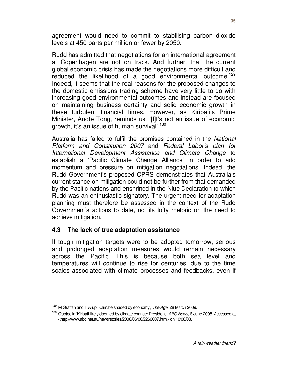agreement would need to commit to stabilising carbon dioxide levels at 450 parts per million or fewer by 2050.

Rudd has admitted that negotiations for an international agreement at Copenhagen are not on track. And further, that the current global economic crisis has made the negotiations more difficult and reduced the likelihood of a good environmental outcome.<sup>129</sup> Indeed, it seems that the real reasons for the proposed changes to the domestic emissions trading scheme have very little to do with increasing good environmental outcomes and instead are focused on maintaining business certainty and solid economic growth in these turbulent financial times. However, as Kiribati's Prime Minister, Anote Tong, reminds us, '[I]t's not an issue of economic growth, it's an issue of human survival'.<sup>130</sup>

Australia has failed to fulfil the promises contained in the National Platform and Constitution 2007 and Federal Labor's plan for International Development Assistance and Climate Change to establish a 'Pacific Climate Change Alliance' in order to add momentum and pressure on mitigation negotiations. Indeed, the Rudd Government's proposed CPRS demonstrates that Australia's current stance on mitigation could not be further from that demanded by the Pacific nations and enshrined in the Niue Declaration to which Rudd was an enthusiastic signatory. The urgent need for adaptation planning must therefore be assessed in the context of the Rudd Government's actions to date, not its lofty rhetoric on the need to achieve mitigation.

#### **4.3 The lack of true adaptation assistance**

If tough mitigation targets were to be adopted tomorrow, serious and prolonged adaptation measures would remain necessary across the Pacific. This is because both sea level and temperatures will continue to rise for centuries 'due to the time scales associated with climate processes and feedbacks, even if

 $129$  M Grattan and T Arup, 'Climate shaded by economy', The Age, 28 March 2009.

<sup>&</sup>lt;sup>130</sup> Quoted in 'Kiribati likely doomed by climate change: President', ABC News, 6 June 2008. Accessed at <http://www.abc.net.au/news/stories/2008/06/06/2266607.htm> on 10/08/08.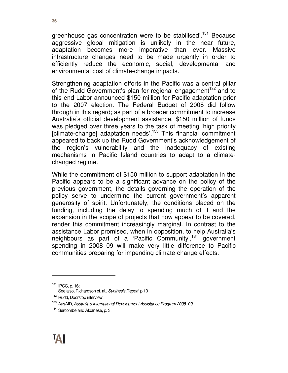greenhouse gas concentration were to be stabilised'.<sup>131</sup> Because aggressive global mitigation is unlikely in the near future, adaptation becomes more imperative than ever. Massive infrastructure changes need to be made urgently in order to efficiently reduce the economic, social, developmental and environmental cost of climate-change impacts.

Strengthening adaptation efforts in the Pacific was a central pillar of the Rudd Government's plan for regional engagement<sup>132</sup> and to this end Labor announced \$150 million for Pacific adaptation prior to the 2007 election. The Federal Budget of 2008 did follow through in this regard; as part of a broader commitment to increase Australia's official development assistance, \$150 million of funds was pledged over three years to the task of meeting 'high priority [climate-change] adaptation needs'.<sup>133</sup> This financial commitment appeared to back up the Rudd Government's acknowledgement of the region's vulnerability and the inadequacy of existing mechanisms in Pacific Island countries to adapt to a climatechanged regime.

While the commitment of \$150 million to support adaptation in the Pacific appears to be a significant advance on the policy of the previous government, the details governing the operation of the policy serve to undermine the current government's apparent generosity of spirit. Unfortunately, the conditions placed on the funding, including the delay to spending much of it and the expansion in the scope of projects that now appear to be covered, render this commitment increasingly marginal. In contrast to the assistance Labor promised, when in opposition, to help Australia's neighbours as part of a 'Pacific Community',<sup>134</sup> government spending in 2008–09 will make very little difference to Pacific communities preparing for impending climate-change effects.

<sup>131</sup> IPCC, p. 16;

See also, Richardson et. al., Synthesis Report, p.10

<sup>132</sup> Rudd, Doorstop interview.

<sup>&</sup>lt;sup>133</sup> AusAID, Australia's International-Development Assistance Program 2008–09.

<sup>&</sup>lt;sup>134</sup> Sercombe and Albanese, p. 3.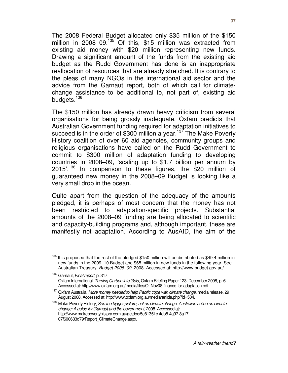The 2008 Federal Budget allocated only \$35 million of the \$150 million in  $2008-09$ <sup>135</sup> Of this, \$15 million was extracted from existing aid money with \$20 million representing new funds. Drawing a significant amount of the funds from the existing aid budget as the Rudd Government has done is an inappropriate reallocation of resources that are already stretched. It is contrary to the pleas of many NGOs in the international aid sector and the advice from the Garnaut report, both of which call for climatechange assistance to be additional to, not part of, existing aid budgets.<sup>136</sup>

The \$150 million has already drawn heavy criticism from several organisations for being grossly inadequate. Oxfam predicts that Australian Government funding required for adaptation initiatives to succeed is in the order of  $$300$  million a year.<sup>137</sup> The Make Poverty History coalition of over 60 aid agencies, community groups and religious organisations have called on the Rudd Government to commit to \$300 million of adaptation funding to developing countries in 2008–09, 'scaling up to \$1.7 billion per annum by 2015'.<sup>138</sup> In comparison to these figures, the \$20 million of guaranteed new money in the 2008–09 Budget is looking like a very small drop in the ocean.

Quite apart from the question of the adequacy of the amounts pledged, it is perhaps of most concern that the money has not been restricted to adaptation-specific projects. Substantial amounts of the 2008–09 funding are being allocated to scientific and capacity-building programs and, although important, these are manifestly not adaptation. According to AusAID, the aim of the

 $135$  It is proposed that the rest of the pledged \$150 million will be distributed as \$49.4 million in new funds in the 2009–10 Budget and \$65 million in new funds in the following year. See Australian Treasury, Budget 2008–09, 2008. Accessed at: http://www.budget.gov.au/.

<sup>136</sup> Garnaut, Final report, p. 317; Oxfam International, Turning Carbon into Gold, Oxfam Briefing Paper 123, December 2008, p. 6. Accessed at: http://www.oxfam.org.au/media/files/OI-Nov08-finance-for-adaptation.pdf.

<sup>&</sup>lt;sup>137</sup> Oxfam Australia, More money needed to help Pacific cope with climate change, media release, 29 August 2008. Accessed at: http://www.oxfam.org.au/media/article.php?id=504.

<sup>&</sup>lt;sup>138</sup> Make Poverty History, See the bigger picture, act on climate change. Australian action on climate change: A guide for Garnaut and the government, 2008. Accessed at: http://www.makepovertyhistory.com.au/getdoc/5e81351c-4db8-4a97-8a17- 07f600633d79/Report\_ClimateChange.aspx.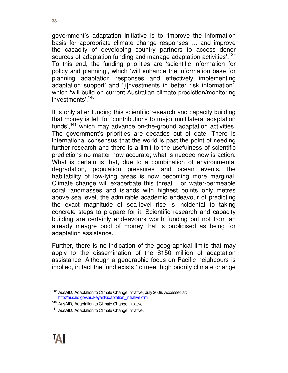government's adaptation initiative is to 'improve the information basis for appropriate climate change responses … and improve the capacity of developing country partners to access donor sources of adaptation funding and manage adaptation activities'.<sup>139</sup> To this end, the funding priorities are 'scientific information for policy and planning', which 'will enhance the information base for planning adaptation responses and effectively implementing adaptation support' and '[i]nvestments in better risk information', which 'will build on current Australian climate prediction/monitoring investments'.<sup>140</sup>

It is only after funding this scientific research and capacity building that money is left for 'contributions to major multilateral adaptation funds', $141$  which may advance on-the-ground adaptation activities. The government's priorities are decades out of date. There is international consensus that the world is past the point of needing further research and there is a limit to the usefulness of scientific predictions no matter how accurate; what is needed now is action. What is certain is that, due to a combination of environmental degradation, population pressures and ocean events, the habitability of low-lying areas is now becoming more marginal. Climate change will exacerbate this threat. For water-permeable coral landmasses and islands with highest points only metres above sea level, the admirable academic endeavour of predicting the exact magnitude of sea-level rise is incidental to taking concrete steps to prepare for it. Scientific research and capacity building are certainly endeavours worth funding but not from an already meagre pool of money that is publicised as being for adaptation assistance.

Further, there is no indication of the geographical limits that may apply to the dissemination of the \$150 million of adaptation assistance. Although a geographic focus on Pacific neighbours is implied, in fact the fund exists 'to meet high priority climate change

<sup>&</sup>lt;sup>139</sup> AusAID, 'Adaptation to Climate Change Initiative', July 2008. Accessed at: http://ausaid.gov.au/keyaid/adaptation\_initiative.cfm

<sup>&</sup>lt;sup>140</sup> AusAID, 'Adaptation to Climate Change Initiative'.

<sup>&</sup>lt;sup>141</sup> AusAID, 'Adaptation to Climate Change Initiative'.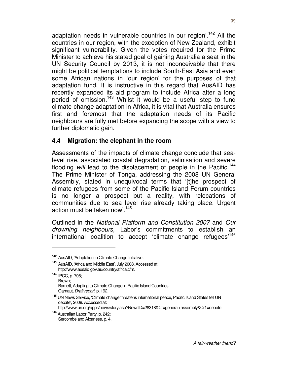adaptation needs in vulnerable countries in our region<sup>'.142</sup> All the countries in our region, with the exception of New Zealand, exhibit significant vulnerability. Given the votes required for the Prime Minister to achieve his stated goal of gaining Australia a seat in the UN Security Council by 2013, it is not inconceivable that there might be political temptations to include South-East Asia and even some African nations in 'our region' for the purposes of that adaptation fund. It is instructive in this regard that AusAID has recently expanded its aid program to include Africa after a long period of omission.<sup>143</sup> Whilst it would be a useful step to fund climate-change adaptation in Africa, it is vital that Australia ensures first and foremost that the adaptation needs of its Pacific neighbours are fully met before expanding the scope with a view to further diplomatic gain.

#### **4.4 Migration: the elephant in the room**

Assessments of the impacts of climate change conclude that sealevel rise, associated coastal degradation, salinisation and severe flooding will lead to the displacement of people in the Pacific.<sup>144</sup> The Prime Minister of Tonga, addressing the 2008 UN General Assembly, stated in unequivocal terms that '[t]he prospect of climate refugees from some of the Pacific Island Forum countries is no longer a prospect but a reality, with relocations of communities due to sea level rise already taking place. Urgent action must be taken now'.<sup>145</sup>

Outlined in the National Platform and Constitution 2007 and Our drowning neighbours, Labor's commitments to establish an international coalition to accept 'climate change refugees'<sup>146</sup>

- <sup>144</sup> IPCC, p. 708; Brown;. Barnett, Adapting to Climate Change in Pacific Island Countries ; Garnaut, Draft report, p. 192.
- <sup>145</sup> UN News Service, 'Climate change threatens international peace, Pacific Island States tell UN debate', 2008. Accessed at:

http://www.un.org/apps/news/story.asp?NewsID=28318&Cr=general+assembly&Cr1=debate.

<sup>&</sup>lt;sup>142</sup> AusAID, 'Adaptation to Climate Change Initiative'.

<sup>&</sup>lt;sup>143</sup> AusAID, 'Africa and Middle East', July 2008. Accessed at: http://www.ausaid.gov.au/country/africa.cfm.

<sup>146</sup> Australian Labor Party, p. 242; Sercombe and Albanese, p. 4.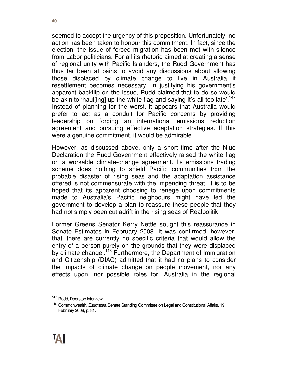seemed to accept the urgency of this proposition. Unfortunately, no action has been taken to honour this commitment. In fact, since the election, the issue of forced migration has been met with silence from Labor politicians. For all its rhetoric aimed at creating a sense of regional unity with Pacific Islanders, the Rudd Government has thus far been at pains to avoid any discussions about allowing those displaced by climate change to live in Australia if resettlement becomes necessary. In justifying his government's apparent backflip on the issue, Rudd claimed that to do so would be akin to 'haul[ing] up the white flag and saying it's all too late'.<sup>147</sup> Instead of planning for the worst, it appears that Australia would prefer to act as a conduit for Pacific concerns by providing leadership on forging an international emissions reduction agreement and pursuing effective adaptation strategies. If this were a genuine commitment, it would be admirable.

However, as discussed above, only a short time after the Niue Declaration the Rudd Government effectively raised the white flag on a workable climate-change agreement. Its emissions trading scheme does nothing to shield Pacific communities from the probable disaster of rising seas and the adaptation assistance offered is not commensurate with the impending threat. It is to be hoped that its apparent choosing to renege upon commitments made to Australia's Pacific neighbours might have led the government to develop a plan to reassure these people that they had not simply been cut adrift in the rising seas of Realpolitik

Former Greens Senator Kerry Nettle sought this reassurance in Senate Estimates in February 2008. It was confirmed, however, that 'there are currently no specific criteria that would allow the entry of a person purely on the grounds that they were displaced by climate change<sup>', 148</sup> Furthermore, the Department of Immigration and Citizenship (DIAC) admitted that it had no plans to consider the impacts of climate change on people movement, nor any effects upon, nor possible roles for, Australia in the regional

<sup>&</sup>lt;sup>147</sup> Rudd, Doorstop interview

<sup>&</sup>lt;sup>148</sup> Commonwealth, Estimates, Senate Standing Committee on Legal and Constitutional Affairs, 19 February 2008, p. 81.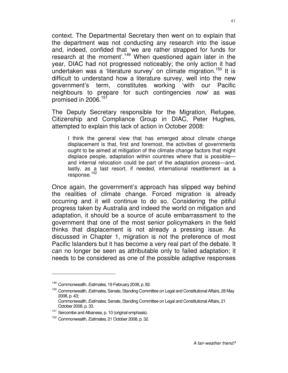context. The Departmental Secretary then went on to explain that the department was not conducting any research into the issue and, indeed, confided that 'we are rather strapped for funds for research at the moment<sup>'.149</sup> When questioned again later in the year, DIAC had not progressed noticeably; the only action it had undertaken was a 'literature survey' on climate migration.<sup>150</sup> It is difficult to understand how a literature survey, well into the new government's term, constitutes working 'with our Pacific neighbours to prepare for such contingencies now as was promised in 2006.<sup>151</sup>

The Deputy Secretary responsible for the Migration, Refugee, Citizenship and Compliance Group in DIAC, Peter Hughes, attempted to explain this lack of action in October 2008:

I think the general view that has emerged about climate change displacement is that, first and foremost, the activities of governments ought to be aimed at mitigation of the climate change factors that might displace people, adaptation within countries where that is possible and internal relocation could be part of the adaptation process—and, lastly, as a last resort, if needed, international resettlement as a response.<sup>152</sup>

Once again, the government's approach has slipped way behind the realities of climate change. Forced migration is already occurring and it will continue to do so. Considering the pitiful progress taken by Australia and indeed the world on mitigation and adaptation, it should be a source of acute embarrassment to the government that one of the most senior policymakers in the field thinks that displacement is not already a pressing issue. As discussed in Chapter 1, migration is not the preference of most Pacific Islanders but it has become a very real part of the debate. It can no longer be seen as attributable only to failed adaptation; it needs to be considered as one of the possible adaptive responses

<sup>&</sup>lt;sup>149</sup> Commonwealth, *Estimates*, 19 February 2008, p. 82.

<sup>&</sup>lt;sup>150</sup> Commonwealth, Estimates, Senate, Standing Committee on Legal and Constitutional Affairs, 28 May 2008, p. 43;

Commonwealth, Estimates, Senate, Standing Committee on Legal and Constitutional Affairs, 21 October 2008, p. 33.

<sup>&</sup>lt;sup>151</sup> Sercombe and Albanese, p. 10 (original emphasis).

Commonwealth, Estimates, 21 October 2008, p. 32.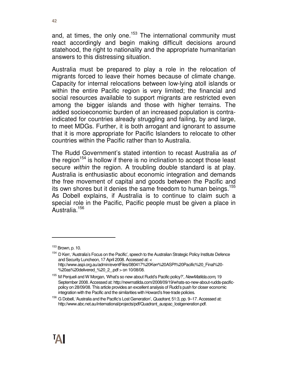and, at times, the only one.<sup>153</sup> The international community must react accordingly and begin making difficult decisions around statehood, the right to nationality and the appropriate humanitarian answers to this distressing situation.

Australia must be prepared to play a role in the relocation of migrants forced to leave their homes because of climate change. Capacity for internal relocations between low-lying atoll islands or within the entire Pacific region is very limited; the financial and social resources available to support migrants are restricted even among the bigger islands and those with higher terrains. The added socioeconomic burden of an increased population is contraindicated for countries already struggling and failing, by and large, to meet MDGs. Further, it is both arrogant and ignorant to assume that it is more appropriate for Pacific Islanders to relocate to other countries within the Pacific rather than to Australia.

The Rudd Government's stated intention to recast Australia as of the region<sup>154</sup> is hollow if there is no inclination to accept those least secure within the region. A troubling double standard is at play. Australia is enthusiastic about economic integration and demands the free movement of capital and goods between the Pacific and its own shores but it denies the same freedom to human beings.<sup>155</sup> As Dobell explains, if Australia is to continue to claim such a special role in the Pacific, Pacific people must be given a place in Australia.<sup>156</sup>



<sup>153</sup> Brown, p. 10.

<sup>&</sup>lt;sup>154</sup> D Kerr, 'Australia's Focus on the Pacific', speech to the Australian Strategic Policy Institute Defence and Security Luncheon, 17 April 2008. Accessed at: < http://www.aspi.org.au/admin/eventFiles/080417%20Kerr%20ASPI%20Pacific%20\_Final%20- %20as%20delivered %20 2 .pdf > on 10/08/08.

<sup>&</sup>lt;sup>155</sup> M Penjueli and W Morgan, 'What's so new about Rudd's Pacific policy?', NewMatilda.com, 19 September 2008. Accessed at: http://newmatilda.com/2008/09/19/whats-so-new-about-rudds-pacificpolicy on 28/09/08. This article provides an excellent analysis of Rudd's push for closer economic integration with the Pacific and the similarities with Howard's free-trade policies.

<sup>&</sup>lt;sup>156</sup> G Dobell, 'Australia and the Pacific's Lost Generation', Quadrant, 51:3, pp. 9–17. Accessed at: http://www.abc.net.au/international/projects/pdf/Quadrant\_auspac\_lostgeneration.pdf.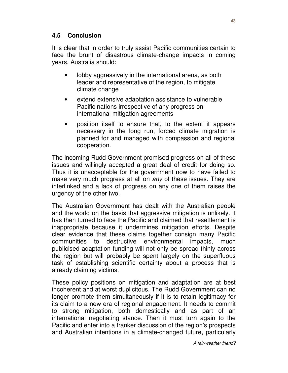### **4.5 Conclusion**

It is clear that in order to truly assist Pacific communities certain to face the brunt of disastrous climate-change impacts in coming years, Australia should:

- lobby aggressively in the international arena, as both leader and representative of the region, to mitigate climate change
- extend extensive adaptation assistance to vulnerable Pacific nations irrespective of any progress on international mitigation agreements
- position itself to ensure that, to the extent it appears necessary in the long run, forced climate migration is planned for and managed with compassion and regional cooperation.

The incoming Rudd Government promised progress on all of these issues and willingly accepted a great deal of credit for doing so. Thus it is unacceptable for the government now to have failed to make very much progress at all on *any* of these issues. They are interlinked and a lack of progress on any one of them raises the urgency of the other two.

The Australian Government has dealt with the Australian people and the world on the basis that aggressive mitigation is unlikely. It has then turned to face the Pacific and claimed that resettlement is inappropriate because it undermines mitigation efforts. Despite clear evidence that these claims together consign many Pacific communities to destructive environmental impacts, much publicised adaptation funding will not only be spread thinly across the region but will probably be spent largely on the superfluous task of establishing scientific certainty about a process that is already claiming victims.

These policy positions on mitigation and adaptation are at best incoherent and at worst duplicitous. The Rudd Government can no longer promote them simultaneously if it is to retain legitimacy for its claim to a new era of regional engagement. It needs to commit to strong mitigation, both domestically and as part of an international negotiating stance. Then it must turn again to the Pacific and enter into a franker discussion of the region's prospects and Australian intentions in a climate-changed future, particularly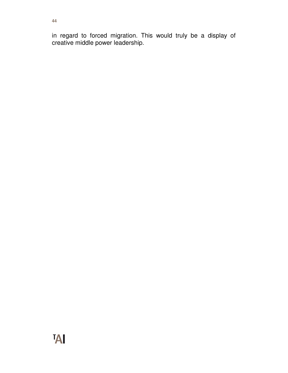in regard to forced migration. This would truly be a display of creative middle power leadership.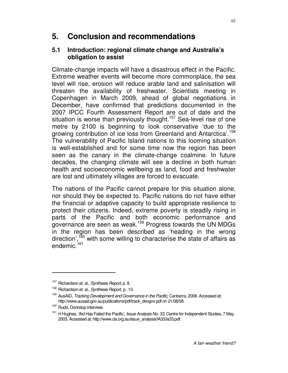# **5. Conclusion and recommendations**

#### **5.1 Introduction: regional climate change and Australia's obligation to assist**

Climate-change impacts will have a disastrous effect in the Pacific. Extreme weather events will become more commonplace, the sea level will rise, erosion will reduce arable land and salinisation will threaten the availability of freshwater. Scientists meeting in Copenhagen in March 2009, ahead of global negotiations in December, have confirmed that predictions documented in the 2007 IPCC Fourth Assessment Report are out of date and the situation is worse than previously thought.<sup>157</sup> Sea-level rise of one metre by 2100 is beginning to look conservative 'due to the growing contribution of ice loss from Greenland and Antarctica'.<sup>158</sup> The vulnerability of Pacific Island nations to this looming situation is well-established and for some time now the region has been seen as the canary in the climate-change coalmine. In future decades, the changing climate will see a decline in both human health and socioeconomic wellbeing as land, food and freshwater are lost and ultimately villages are forced to evacuate.

The nations of the Pacific cannot prepare for this situation alone, nor should they be expected to. Pacific nations do not have either the financial or adaptive capacity to build appropriate resilience to protect their citizens. Indeed, extreme poverty is steadily rising in parts of the Pacific and both economic performance and governance are seen as weak.<sup>159</sup> Progress towards the UN MDGs in the region has been described as 'heading in the wrong direction', $160$  with some willing to characterise the state of affairs as endemic.<sup>161</sup>

<sup>&</sup>lt;sup>157</sup> Richardson et. al., Synthesis Report, p. 8.

<sup>&</sup>lt;sup>158</sup> Richardson et. al., Synthesis Report, p. 10.

<sup>&</sup>lt;sup>159</sup> AusAID, Tracking Development and Governance in the Pacific, Canberra, 2008. Accessed at: http://www.ausaid.gov.au/publications/pdf/track\_devgov.pdf on 21/08/08.

<sup>&</sup>lt;sup>160</sup> Rudd, Doorstop interview.

<sup>&</sup>lt;sup>161</sup> H Hughes, 'Aid Has Failed the Pacific', Issue Analysis No. 33, Centre for Independent Studies, 7 May 2003. Accessed at: http://www.cis.org.au/issue\_analysis/IA33/ia33.pdf.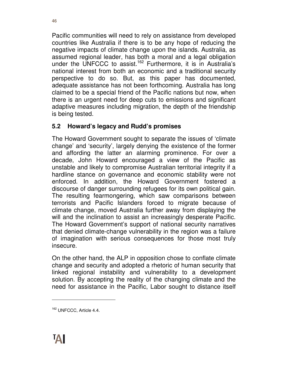Pacific communities will need to rely on assistance from developed countries like Australia if there is to be any hope of reducing the negative impacts of climate change upon the islands. Australia, as assumed regional leader, has both a moral and a legal obligation under the UNFCCC to assist.<sup>162</sup> Furthermore, it is in Australia's national interest from both an economic and a traditional security perspective to do so. But, as this paper has documented, adequate assistance has not been forthcoming. Australia has long claimed to be a special friend of the Pacific nations but now, when there is an urgent need for deep cuts to emissions and significant adaptive measures including migration, the depth of the friendship is being tested.

## **5.2 Howard's legacy and Rudd's promises**

The Howard Government sought to separate the issues of 'climate change' and 'security', largely denying the existence of the former and affording the latter an alarming prominence. For over a decade, John Howard encouraged a view of the Pacific as unstable and likely to compromise Australian territorial integrity if a hardline stance on governance and economic stability were not enforced. In addition, the Howard Government fostered a discourse of danger surrounding refugees for its own political gain. The resulting fearmongering, which saw comparisons between terrorists and Pacific Islanders forced to migrate because of climate change, moved Australia further away from displaying the will and the inclination to assist an increasingly desperate Pacific. The Howard Government's support of national security narratives that denied climate-change vulnerability in the region was a failure of imagination with serious consequences for those most truly insecure.

On the other hand, the ALP in opposition chose to conflate climate change and security and adopted a rhetoric of human security that linked regional instability and vulnerability to a development solution. By accepting the reality of the changing climate and the need for assistance in the Pacific, Labor sought to distance itself

<sup>&</sup>lt;sup>162</sup> UNFCCC, Article 4.4.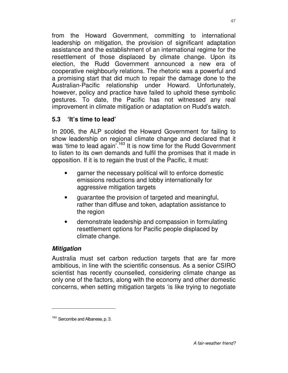from the Howard Government, committing to international leadership on mitigation, the provision of significant adaptation assistance and the establishment of an international regime for the resettlement of those displaced by climate change. Upon its election, the Rudd Government announced a new era of cooperative neighbourly relations. The rhetoric was a powerful and a promising start that did much to repair the damage done to the Australian-Pacific relationship under Howard. Unfortunately, however, policy and practice have failed to uphold these symbolic gestures. To date, the Pacific has not witnessed any real improvement in climate mitigation or adaptation on Rudd's watch.

### **5.3 'It's time to lead'**

In 2006, the ALP scolded the Howard Government for failing to show leadership on regional climate change and declared that it was 'time to lead again'.<sup>163</sup> It is now time for the Rudd Government to listen to its own demands and fulfil the promises that it made in opposition. If it is to regain the trust of the Pacific, it must:

- garner the necessary political will to enforce domestic emissions reductions and lobby internationally for aggressive mitigation targets
- guarantee the provision of targeted and meaningful, rather than diffuse and token, adaptation assistance to the region
- demonstrate leadership and compassion in formulating resettlement options for Pacific people displaced by climate change.

#### **Mitigation**

 $\overline{a}$ 

Australia must set carbon reduction targets that are far more ambitious, in line with the scientific consensus. As a senior CSIRO scientist has recently counselled, considering climate change as only one of the factors, along with the economy and other domestic concerns, when setting mitigation targets 'is like trying to negotiate

<sup>&</sup>lt;sup>163</sup> Sercombe and Albanese, p. 3.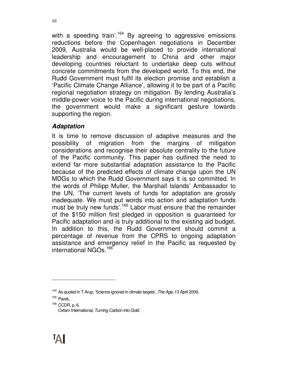with a speeding train'.<sup>164</sup> By agreeing to aggressive emissions reductions before the Copenhagen negotiations in December 2009, Australia would be well-placed to provide international leadership and encouragement to China and other major developing countries reluctant to undertake deep cuts without concrete commitments from the developed world. To this end, the Rudd Government must fulfil its election promise and establish a 'Pacific Climate Change Alliance', allowing it to be part of a Pacific regional negotiation strategy on mitigation. By lending Australia's middle-power voice to the Pacific during international negotiations, the government would make a significant gesture towards supporting the region.

#### **Adaptation**

It is time to remove discussion of adaptive measures and the possibility of migration from the margins of mitigation considerations and recognise their absolute centrality to the future of the Pacific community. This paper has outlined the need to extend far more substantial adaptation assistance to the Pacific because of the predicted effects of climate change upon the UN MDGs to which the Rudd Government says it is so committed. In the words of Philipp Muller, the Marshall Islands' Ambassador to the UN, 'The current levels of funds for adaptation are grossly inadequate. We must put words into action and adaptation funds must be truly new funds<sup>'.165</sup> Labor must ensure that the remainder of the \$150 million first pledged in opposition is guaranteed for Pacific adaptation and is truly additional to the existing aid budget. In addition to this, the Rudd Government should commit a percentage of revenue from the CPRS to ongoing adaptation assistance and emergency relief in the Pacific as requested by international NGOs.<sup>166</sup>

 $\overline{a}$ 

<sup>166</sup> CCDR, p. 6. Oxfam International, Turning Carbon into Gold.

 $164$  As quoted in T Arup, 'Science ignored in climate targets', The Age, 13 April 2009.

<sup>165</sup> Pareti,.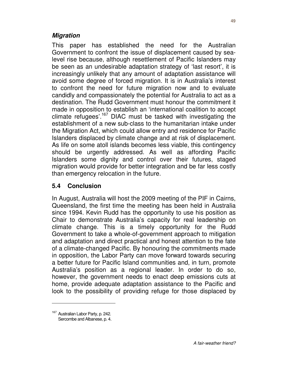#### **Migration**

This paper has established the need for the Australian Government to confront the issue of displacement caused by sealevel rise because, although resettlement of Pacific Islanders may be seen as an undesirable adaptation strategy of 'last resort', it is increasingly unlikely that any amount of adaptation assistance will avoid some degree of forced migration. It is in Australia's interest to confront the need for future migration now and to evaluate candidly and compassionately the potential for Australia to act as a destination. The Rudd Government must honour the commitment it made in opposition to establish an 'international coalition to accept climate refugees'.<sup>167</sup> DIAC must be tasked with investigating the establishment of a new sub-class to the humanitarian intake under the Migration Act, which could allow entry and residence for Pacific Islanders displaced by climate change and at risk of displacement. As life on some atoll islands becomes less viable, this contingency should be urgently addressed. As well as affording Pacific Islanders some dignity and control over their futures, staged migration would provide for better integration and be far less costly than emergency relocation in the future.

#### **5.4 Conclusion**

In August, Australia will host the 2009 meeting of the PIF in Cairns, Queensland, the first time the meeting has been held in Australia since 1994. Kevin Rudd has the opportunity to use his position as Chair to demonstrate Australia's capacity for real leadership on climate change. This is a timely opportunity for the Rudd Government to take a whole-of-government approach to mitigation and adaptation and direct practical and honest attention to the fate of a climate-changed Pacific. By honouring the commitments made in opposition, the Labor Party can move forward towards securing a better future for Pacific Island communities and, in turn, promote Australia's position as a regional leader. In order to do so, however, the government needs to enact deep emissions cuts at home, provide adequate adaptation assistance to the Pacific and look to the possibility of providing refuge for those displaced by

<sup>&</sup>lt;sup>167</sup> Australian Labor Party, p. 242. Sercombe and Albanese, p. 4.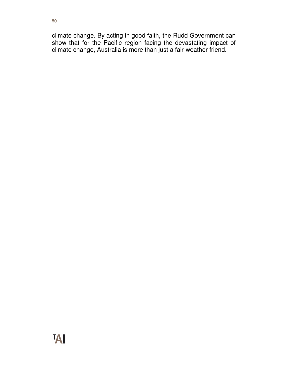climate change. By acting in good faith, the Rudd Government can show that for the Pacific region facing the devastating impact of climate change, Australia is more than just a fair-weather friend.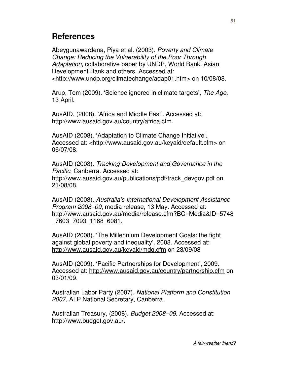# **References**

Abeygunawardena, Piya et al. (2003). Poverty and Climate Change: Reducing the Vulnerability of the Poor Through Adaptation, collaborative paper by UNDP, World Bank, Asian Development Bank and others. Accessed at: <http://www.undp.org/climatechange/adap01.htm> on 10/08/08.

Arup, Tom (2009). 'Science ignored in climate targets', The Age, 13 April.

AusAID, (2008). 'Africa and Middle East'. Accessed at: http://www.ausaid.gov.au/country/africa.cfm.

AusAID (2008). 'Adaptation to Climate Change Initiative'. Accessed at: <http://www.ausaid.gov.au/keyaid/default.cfm> on 06/07/08.

AusAID (2008). Tracking Development and Governance in the Pacific, Canberra. Accessed at: http://www.ausaid.gov.au/publications/pdf/track\_devgov.pdf on 21/08/08.

AusAID (2008). Australia's International Development Assistance Program 2008–09, media release, 13 May. Accessed at: http://www.ausaid.gov.au/media/release.cfm?BC=Media&ID=5748 \_7603\_7093\_1168\_6081.

AusAID (2008). 'The Millennium Development Goals: the fight against global poverty and inequality', 2008. Accessed at: http://www.ausaid.gov.au/keyaid/mdg.cfm on 23/09/08

AusAID (2009). 'Pacific Partnerships for Development', 2009. Accessed at: http://www.ausaid.gov.au/country/partnership.cfm on 03/01/09.

Australian Labor Party (2007). National Platform and Constitution 2007, ALP National Secretary, Canberra.

Australian Treasury, (2008). Budget 2008–09. Accessed at: http://www.budget.gov.au/.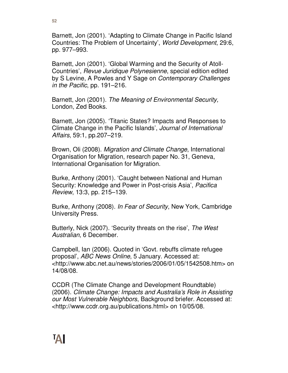Barnett, Jon (2001). 'Adapting to Climate Change in Pacific Island Countries: The Problem of Uncertainty', World Development, 29:6, pp. 977–993.

Barnett, Jon (2001). 'Global Warming and the Security of Atoll-Countries', Revue Juridique Polynesienne, special edition edited by S Levine, A Powles and Y Sage on Contemporary Challenges in the Pacific, pp. 191–216.

Barnett, Jon (2001). The Meaning of Environmental Security, London, Zed Books.

Barnett, Jon (2005). 'Titanic States? Impacts and Responses to Climate Change in the Pacific Islands', Journal of International Affairs, 59:1, pp.207–219.

Brown, Oli (2008). Migration and Climate Change, International Organisation for Migration, research paper No. 31, Geneva, International Organisation for Migration.

Burke, Anthony (2001). 'Caught between National and Human Security: Knowledge and Power in Post-crisis Asia', Pacifica Review, 13:3, pp. 215–139.

Burke, Anthony (2008). In Fear of Security, New York, Cambridge University Press.

Butterly, Nick (2007). 'Security threats on the rise', The West Australian, 6 December.

Campbell, Ian (2006). Quoted in 'Govt. rebuffs climate refugee proposal', ABC News Online, 5 January. Accessed at: <http://www.abc.net.au/news/stories/2006/01/05/1542508.htm> on 14/08/08.

CCDR (The Climate Change and Development Roundtable) (2006). Climate Change: Impacts and Australia's Role in Assisting our Most Vulnerable Neighbors, Background briefer. Accessed at: <http://www.ccdr.org.au/publications.html> on 10/05/08.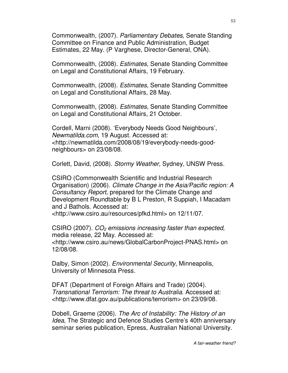Commonwealth, (2007). Parliamentary Debates, Senate Standing Committee on Finance and Public Administration, Budget Estimates, 22 May. (P Varghese, Director-General, ONA).

Commonwealth, (2008). Estimates, Senate Standing Committee on Legal and Constitutional Affairs, 19 February.

Commonwealth, (2008). Estimates, Senate Standing Committee on Legal and Constitutional Affairs, 28 May.

Commonwealth, (2008). Estimates, Senate Standing Committee on Legal and Constitutional Affairs, 21 October.

Cordell, Marni (2008). 'Everybody Needs Good Neighbours', Newmatilda.com, 19 August. Accessed at: <http://newmatilda.com/2008/08/19/everybody-needs-goodneighbours> on 23/08/08.

Corlett, David, (2008). Stormy Weather, Sydney, UNSW Press.

CSIRO (Commonwealth Scientific and Industrial Research Organisation) (2006). Climate Change in the Asia/Pacific region: A Consultancy Report, prepared for the Climate Change and Development Roundtable by B L Preston, R Suppiah, I Macadam and J Bathols. Accessed at:

<http://www.csiro.au/resources/pfkd.html> on 12/11/07.

CSIRO (2007).  $CO<sub>2</sub>$  emissions increasing faster than expected, media release, 22 May. Accessed at: <http://www.csiro.au/news/GlobalCarbonProject-PNAS.html> on 12/08/08.

Dalby, Simon (2002). *Environmental Security*, Minneapolis, University of Minnesota Press.

DFAT (Department of Foreign Affairs and Trade) (2004). Transnational Terrorism: The threat to Australia. Accessed at: <http://www.dfat.gov.au/publications/terrorism> on 23/09/08.

Dobell, Graeme (2006). The Arc of Instability: The History of an Idea, The Strategic and Defence Studies Centre's 40th anniversary seminar series publication, Epress, Australian National University.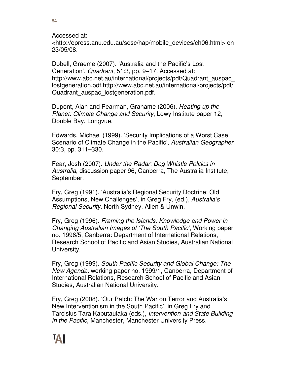Accessed at: <http://epress.anu.edu.au/sdsc/hap/mobile\_devices/ch06.html> on 23/05/08.

Dobell, Graeme (2007). 'Australia and the Pacific's Lost Generation', Quadrant, 51:3, pp. 9–17. Accessed at: http://www.abc.net.au/international/projects/pdf/Quadrant\_auspac\_ lostgeneration.pdf.http://www.abc.net.au/international/projects/pdf/ Quadrant auspac lostgeneration.pdf.

Dupont, Alan and Pearman, Grahame (2006). Heating up the Planet: Climate Change and Security, Lowy Institute paper 12, Double Bay, Longvue.

Edwards, Michael (1999). 'Security Implications of a Worst Case Scenario of Climate Change in the Pacific', Australian Geographer, 30:3, pp. 311–330.

Fear, Josh (2007). Under the Radar: Dog Whistle Politics in Australia, discussion paper 96, Canberra, The Australia Institute, September.

Fry, Greg (1991). 'Australia's Regional Security Doctrine: Old Assumptions, New Challenges', in Greg Fry, (ed.), Australia's Regional Security, North Sydney, Allen & Unwin.

Fry, Greg (1996). Framing the Islands: Knowledge and Power in Changing Australian Images of 'The South Pacific', Working paper no. 1996/5, Canberra: Department of International Relations, Research School of Pacific and Asian Studies, Australian National University.

Fry, Greg (1999). South Pacific Security and Global Change: The New Agenda, working paper no. 1999/1, Canberra, Department of International Relations, Research School of Pacific and Asian Studies, Australian National University.

Fry, Greg (2008). 'Our Patch: The War on Terror and Australia's New Interventionism in the South Pacific', in Greg Fry and Tarcisius Tara Kabutaulaka (eds.), Intervention and State Building in the Pacific, Manchester, Manchester University Press.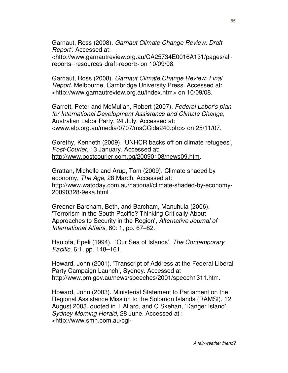Garnaut, Ross (2008). Garnaut Climate Change Review: Draft Report'. Accessed at: <http://www.garnautreview.org.au/CA25734E0016A131/pages/allreports--resources-draft-report> on 10/09/08.

Garnaut, Ross (2008). Garnaut Climate Change Review: Final Report. Melbourne, Cambridge University Press. Accessed at: <http://www.garnautreview.org.au/index.htm> on 10/09/08.

Garrett, Peter and McMullan, Robert (2007). Federal Labor's plan for International Development Assistance and Climate Change, Australian Labor Party, 24 July. Accessed at: <www.alp.org.au/media/0707/msCCida240.php> on 25/11/07.

Gorethy, Kenneth (2009). 'UNHCR backs off on climate refugees', Post-Courier, 13 January. Accessed at: http://www.postcourier.com.pg/20090108/news09.htm.

Grattan, Michelle and Arup, Tom (2009). Climate shaded by economy, The Age, 28 March. Accessed at: http://www.watoday.com.au/national/climate-shaded-by-economy-20090328-9eka.html

Greener-Barcham, Beth, and Barcham, Manuhuia (2006). 'Terrorism in the South Pacific? Thinking Critically About Approaches to Security in the Region', Alternative Journal of International Affairs, 60: 1, pp. 67–82.

Hau'ofa, Epeli (1994). 'Our Sea of Islands', The Contemporary Pacific, 6:1, pp. 148–161.

Howard, John (2001). 'Transcript of Address at the Federal Liberal Party Campaign Launch', Sydney. Accessed at http://www.pm.gov.au/news/speeches/2001/speech1311.htm.

Howard, John (2003). Ministerial Statement to Parliament on the Regional Assistance Mission to the Solomon Islands (RAMSI), 12 August 2003, quoted in T Allard, and C Skehan, 'Danger Island', Sydney Morning Herald, 28 June. Accessed at : <http://www.smh.com.au/cgi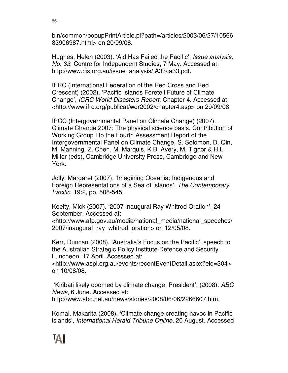bin/common/popupPrintArticle.pl?path=/articles/2003/06/27/10566 83906987.html> on 20/09/08.

Hughes, Helen (2003). 'Aid Has Failed the Pacific', Issue analysis, No. 33, Centre for Independent Studies, 7 May. Accessed at: http://www.cis.org.au/issue\_analysis/IA33/ia33.pdf.

IFRC (International Federation of the Red Cross and Red Crescent) (2002). 'Pacific Islands Foretell Future of Climate Change', ICRC World Disasters Report, Chapter 4. Accessed at: <http://www.ifrc.org/publicat/wdr2002/chapter4.asp> on 29/09/08.

IPCC (Intergovernmental Panel on Climate Change) (2007). Climate Change 2007: The physical science basis. Contribution of Working Group I to the Fourth Assessment Report of the Intergovernmental Panel on Climate Change, S. Solomon, D. Qin, M. Manning, Z. Chen, M. Marquis, K.B. Avery, M. Tignor & H.L. Miller (eds), Cambridge University Press, Cambridge and New York.

Jolly, Margaret (2007). 'Imagining Oceania: Indigenous and Foreign Representations of a Sea of Islands', The Contemporary Pacific, 19:2, pp. 508-545.

Keelty, Mick (2007). '2007 Inaugural Ray Whitrod Oration', 24 September. Accessed at: <http://www.afp.gov.au/media/national\_media/national\_speeches/ 2007/inaugural\_ray\_whitrod\_oration> on 12/05/08.

Kerr, Duncan (2008). 'Australia's Focus on the Pacific', speech to the Australian Strategic Policy Institute Defence and Security Luncheon, 17 April. Accessed at:

<http://www.aspi.org.au/events/recentEventDetail.aspx?eid=304> on 10/08/08.

 'Kiribati likely doomed by climate change: President', (2008). ABC News, 6 June. Accessed at: http://www.abc.net.au/news/stories/2008/06/06/2266607.htm.

Komai, Makarita (2008). 'Climate change creating havoc in Pacific islands', International Herald Tribune Online, 20 August. Accessed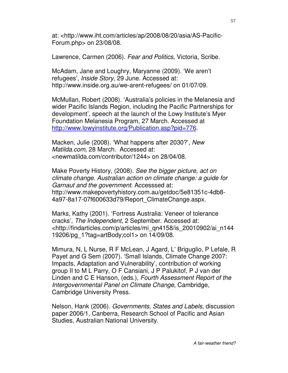at: <http://www.iht.com/articles/ap/2008/08/20/asia/AS-Pacific-Forum.php> on 23/08/08.

Lawrence, Carmen (2006). Fear and Politics, Victoria, Scribe.

McAdam, Jane and Loughry, Maryanne (2009). 'We aren't refugees', Inside Story, 29 June. Accessed at: http://www.inside.org.au/we-arent-refugees/ on 01/07/09.

McMullan, Robert (2008). 'Australia's policies in the Melanesia and wider Pacific Islands Region, including the Pacific Partnerships for development', speech at the launch of the Lowy Institute's Myer Foundation Melanesia Program, 27 March. Accessed at http://www.lowyinstitute.org/Publication.asp?pid=776.

Macken, Julie (2008). 'What happens after 2030?', New Matilda.com, 28 March. Accessed at: <newmatilda.com/contributor/1244> on 28/04/08.

Make Poverty History, (2008). See the bigger picture, act on climate change. Australian action on climate change: a guide for Garnaut and the government. Accesssed at: http://www.makepovertyhistory.com.au/getdoc/5e81351c-4db8- 4a97-8a17-07f600633d79/Report\_ClimateChange.aspx.

Marks, Kathy (2001). 'Fortress Australia: Veneer of tolerance cracks', The Independent, 2 September. Accessed at: <http://findarticles.com/p/articles/mi\_qn4158/is\_20010902/ai\_n144 19206/pg\_1?tag=artBody;col1> on 14/09/08.

Mimura, N, L Nurse, R F McLean, J Agard, L' Briguglio, P Lefale, R Payet and G Sem (2007). 'Small Islands, Climate Change 2007: Impacts, Adaptation and Vulnerability', contribution of working group II to M L Parry, O F Cansiani, J P Palukitof, P J van der Linden and C E Hanson, (eds.), Fourth Assessment Report of the Intergovernmental Panel on Climate Change, Cambridge, Cambridge University Press.

Nelson, Hank (2006). Governments, States and Labels, discussion paper 2006/1, Canberra, Research School of Pacific and Asian Studies, Australian National University.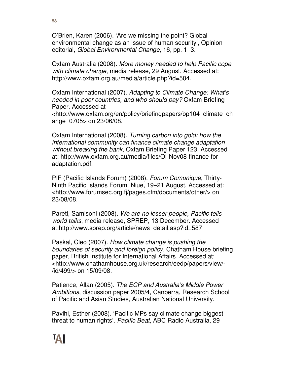O'Brien, Karen (2006). 'Are we missing the point? Global environmental change as an issue of human security', Opinion editorial, Global Environmental Change, 16, pp. 1–3.

Oxfam Australia (2008). More money needed to help Pacific cope with climate change, media release, 29 August. Accessed at: http://www.oxfam.org.au/media/article.php?id=504.

Oxfam International (2007). Adapting to Climate Change: What's needed in poor countries, and who should pay? Oxfam Briefing Paper. Accessed at

<http://www.oxfam.org/en/policy/briefingpapers/bp104\_climate\_ch ange\_0705> on 23/06/08.

Oxfam International (2008). Turning carbon into gold: how the international community can finance climate change adaptation without breaking the bank, Oxfam Briefing Paper 123. Accessed at: http://www.oxfam.org.au/media/files/OI-Nov08-finance-foradaptation.pdf.

PIF (Pacific Islands Forum) (2008). Forum Comunique, Thirty-Ninth Pacific Islands Forum, Niue, 19–21 August. Accessed at: <http://www.forumsec.org.fj/pages.cfm/documents/other/> on 23/08/08.

Pareti, Samisoni (2008). We are no lesser people, Pacific tells world talks, media release, SPREP, 13 December. Accessed at:http://www.sprep.org/article/news\_detail.asp?id=587

Paskal, Cleo (2007). How climate change is pushing the boundaries of security and foreign policy. Chatham House briefing paper, British Institute for International Affairs. Accessed at: <http://www.chathamhouse.org.uk/research/eedp/papers/view/- /id/499/> on 15/09/08.

Patience, Allan (2005). The ECP and Australia's Middle Power Ambitions, discussion paper 2005/4, Canberra, Research School of Pacific and Asian Studies, Australian National University.

Pavihi, Esther (2008). 'Pacific MPs say climate change biggest threat to human rights'. Pacific Beat, ABC Radio Australia, 29

**58**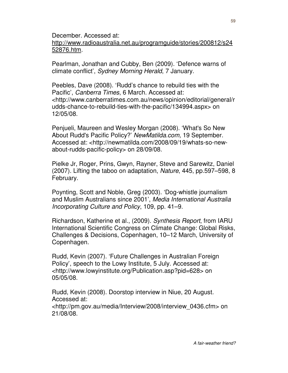December. Accessed at:

http://www.radioaustralia.net.au/programguide/stories/200812/s24 52876.htm.

Pearlman, Jonathan and Cubby, Ben (2009). 'Defence warns of climate conflict', Sydney Morning Herald, 7 January.

Peebles, Dave (2008). 'Rudd's chance to rebuild ties with the Pacific', Canberra Times, 6 March. Accessed at: <http://www.canberratimes.com.au/news/opinion/editorial/general/r udds-chance-to-rebuild-ties-with-the-pacific/134994.aspx> on 12/05/08.

Penjueli, Maureen and Wesley Morgan (2008). 'What's So New About Rudd's Pacific Policy?' NewMatilda.com, 19 September. Accessed at: <http://newmatilda.com/2008/09/19/whats-so-newabout-rudds-pacific-policy> on 28/09/08.

Pielke Jr, Roger, Prins, Gwyn, Rayner, Steve and Sarewitz, Daniel (2007). Lifting the taboo on adaptation, Nature, 445, pp.597–598, 8 February.

Poynting, Scott and Noble, Greg (2003). 'Dog-whistle journalism and Muslim Australians since 2001', Media International Australia Incorporating Culture and Policy, 109, pp. 41–9.

Richardson, Katherine et al., (2009). Synthesis Report, from IARU International Scientific Congress on Climate Change: Global Risks, Challenges & Decisions, Copenhagen, 10–12 March, University of Copenhagen.

Rudd, Kevin (2007). 'Future Challenges in Australian Foreign Policy', speech to the Lowy Institute, 5 July. Accessed at: <http://www.lowyinstitute.org/Publication.asp?pid=628> on 05/05/08.

Rudd, Kevin (2008). Doorstop interview in Niue, 20 August. Accessed at: <http://pm.gov.au/media/Interview/2008/interview\_0436.cfm> on 21/08/08.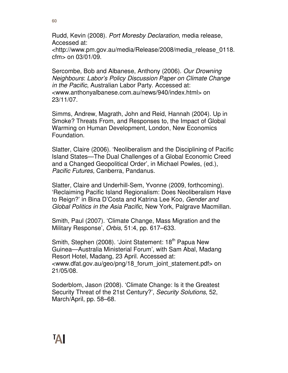**60**

Rudd, Kevin (2008). Port Moresby Declaration, media release, Accessed at: <http://www.pm.gov.au/media/Release/2008/media\_release\_0118. cfm> on 03/01/09.

Sercombe, Bob and Albanese, Anthony (2006). Our Drowning Neighbours: Labor's Policy Discussion Paper on Climate Change in the Pacific, Australian Labor Party. Accessed at: <www.anthonyalbanese.com.au/news/940/index.html> on 23/11/07.

Simms, Andrew, Magrath, John and Reid, Hannah (2004). Up in Smoke? Threats From, and Responses to, the Impact of Global Warming on Human Development, London, New Economics Foundation.

Slatter, Claire (2006). 'Neoliberalism and the Disciplining of Pacific Island States—The Dual Challenges of a Global Economic Creed and a Changed Geopolitical Order', in Michael Powles, (ed.), Pacific Futures, Canberra, Pandanus.

Slatter, Claire and Underhill-Sem, Yvonne (2009, forthcoming). 'Reclaiming Pacific Island Regionalism: Does Neoliberalism Have to Reign?' in Bina D'Costa and Katrina Lee Koo, Gender and Global Politics in the Asia Pacific, New York, Palgrave Macmillan.

Smith, Paul (2007). 'Climate Change, Mass Migration and the Military Response', Orbis, 51:4, pp. 617–633.

Smith, Stephen (2008). 'Joint Statement: 18<sup>th</sup> Papua New Guinea—Australia Ministerial Forum', with Sam Abal, Madang Resort Hotel, Madang, 23 April. Accessed at: <www.dfat.gov.au/geo/png/18\_forum\_joint\_statement.pdf> on 21/05/08.

Soderblom, Jason (2008). 'Climate Change: Is it the Greatest Security Threat of the 21st Century?', Security Solutions, 52, March/April, pp. 58–68.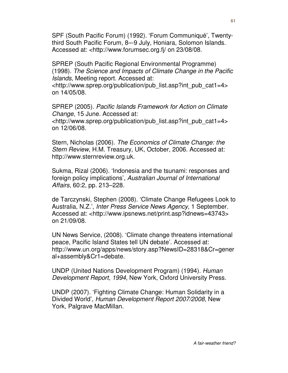SPF (South Pacific Forum) (1992). 'Forum Communiqué', Twentythird South Pacific Forum, 8–-9 July, Honiara, Solomon Islands. Accessed at: <http://www.forumsec.org.fj/ on 23/08/08.

SPREP (South Pacific Regional Environmental Programme) (1998). The Science and Impacts of Climate Change in the Pacific Islands, Meeting report. Accessed at:

<http://www.sprep.org/publication/pub\_list.asp?int\_pub\_cat1=4> on 14/05/08.

SPREP (2005). Pacific Islands Framework for Action on Climate Change, 15 June. Accessed at:

<http://www.sprep.org/publication/pub\_list.asp?int\_pub\_cat1=4> on 12/06/08.

Stern, Nicholas (2006). The Economics of Climate Change: the Stern Review, H.M. Treasury, UK, October, 2006. Accessed at: http://www.sternreview.org.uk.

Sukma, Rizal (2006). 'Indonesia and the tsunami: responses and foreign policy implications', Australian Journal of International Affairs, 60:2, pp. 213–228.

de Tarczynski, Stephen (2008). 'Climate Change Refugees Look to Australia, N.Z.', Inter Press Service News Agency, 1 September. Accessed at: <http://www.ipsnews.net/print.asp?idnews=43743> on 21/09/08.

UN News Service, (2008). 'Climate change threatens international peace, Pacific Island States tell UN debate'. Accessed at: http://www.un.org/apps/news/story.asp?NewsID=28318&Cr=gener al+assembly&Cr1=debate.

UNDP (United Nations Development Program) (1994). Human Development Report, 1994, New York, Oxford University Press.

UNDP (2007). 'Fighting Climate Change: Human Solidarity in a Divided World', Human Development Report 2007/2008, New York, Palgrave MacMillan.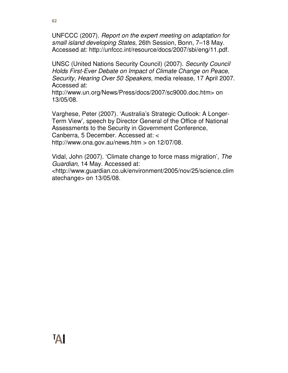UNFCCC (2007). Report on the expert meeting on adaptation for small island developing States, 26th Session, Bonn, 7–18 May. Accessed at: http://unfccc.int/resource/docs/2007/sbi/eng/11.pdf.

UNSC (United Nations Security Council) (2007). Security Council Holds First-Ever Debate on Impact of Climate Change on Peace, Security, Hearing Over 50 Speakers, media release, 17 April 2007. Accessed at:

http://www.un.org/News/Press/docs/2007/sc9000.doc.htm> on 13/05/08.

Varghese, Peter (2007). 'Australia's Strategic Outlook: A Longer-Term View', speech by Director General of the Office of National Assessments to the Security in Government Conference, Canberra, 5 December. Accessed at: < http://www.ona.gov.au/news.htm  $>$  on 12/07/08.

Vidal, John (2007). 'Climate change to force mass migration', The Guardian, 14 May. Accessed at: <http://www.guardian.co.uk/environment/2005/nov/25/science.clim

atechange> on 13/05/08.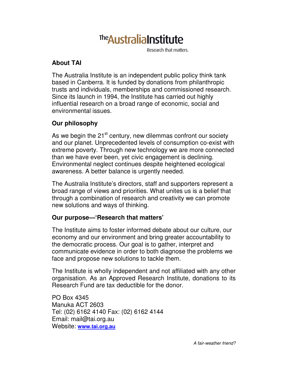# The Australia Institute

Research that matters.

### **About TAI**

The Australia Institute is an independent public policy think tank based in Canberra. It is funded by donations from philanthropic trusts and individuals, memberships and commissioned research. Since its launch in 1994, the Institute has carried out highly influential research on a broad range of economic, social and environmental issues.

#### **Our philosophy**

As we begin the 21<sup>st</sup> century, new dilemmas confront our society and our planet. Unprecedented levels of consumption co-exist with extreme poverty. Through new technology we are more connected than we have ever been, yet civic engagement is declining. Environmental neglect continues despite heightened ecological awareness. A better balance is urgently needed.

The Australia Institute's directors, staff and supporters represent a broad range of views and priorities. What unites us is a belief that through a combination of research and creativity we can promote new solutions and ways of thinking.

#### **Our purpose—'Research that matters'**

The Institute aims to foster informed debate about our culture, our economy and our environment and bring greater accountability to the democratic process. Our goal is to gather, interpret and communicate evidence in order to both diagnose the problems we face and propose new solutions to tackle them.

The Institute is wholly independent and not affiliated with any other organisation. As an Approved Research Institute, donations to its Research Fund are tax deductible for the donor.

PO Box 4345 Manuka ACT 2603 Tel: (02) 6162 4140 Fax: (02) 6162 4144 Email: mail@tai.org.au Website: **www.tai.org.au**